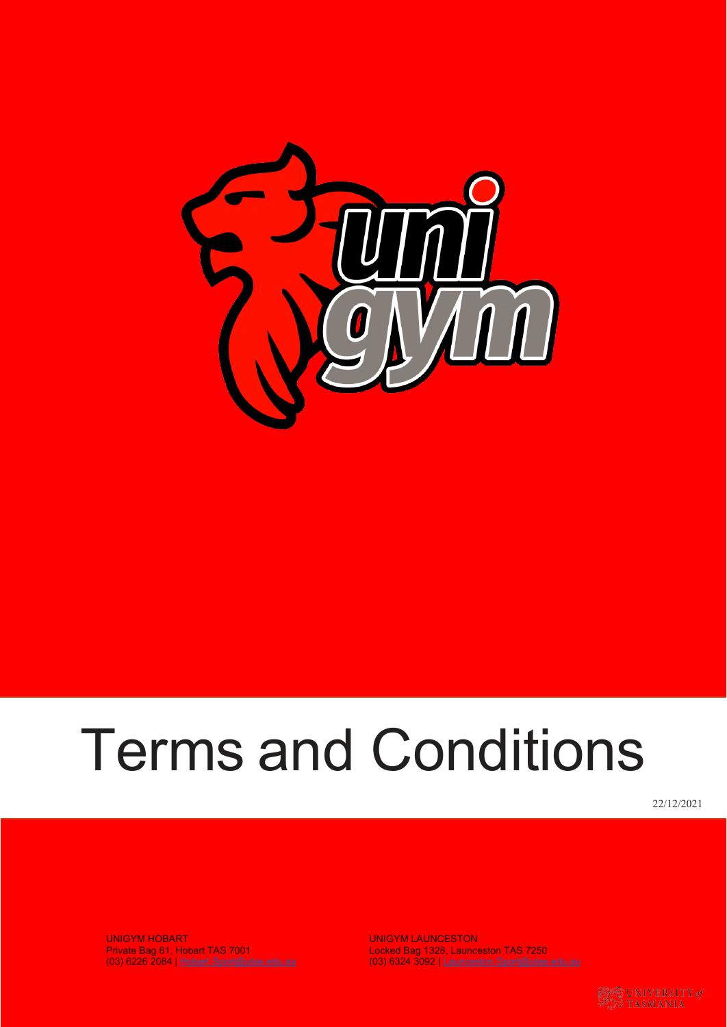

# Terms and Conditions

22/12/2021

UNIGYM HOBART NEW YORK WAS ARRESTED FOR A DISCIPLINE ON A VIOLENCE ON A VIOLENCE OF A VIOLENCE OF A VIOLENCE O Private Bag 61, Hobart TAS 7001 Locked Bag 1328, Launceston TAS 7250

UNIGYM LAUNCESTON<br>Locked Bag 1328, Launceston TAS 7250<br>(03) 6324 3092 | [Launceston.Sport@utas.edu.au](mailto:Launceston.Sport@utas.edu.au)

**ES UNIVERSITY** of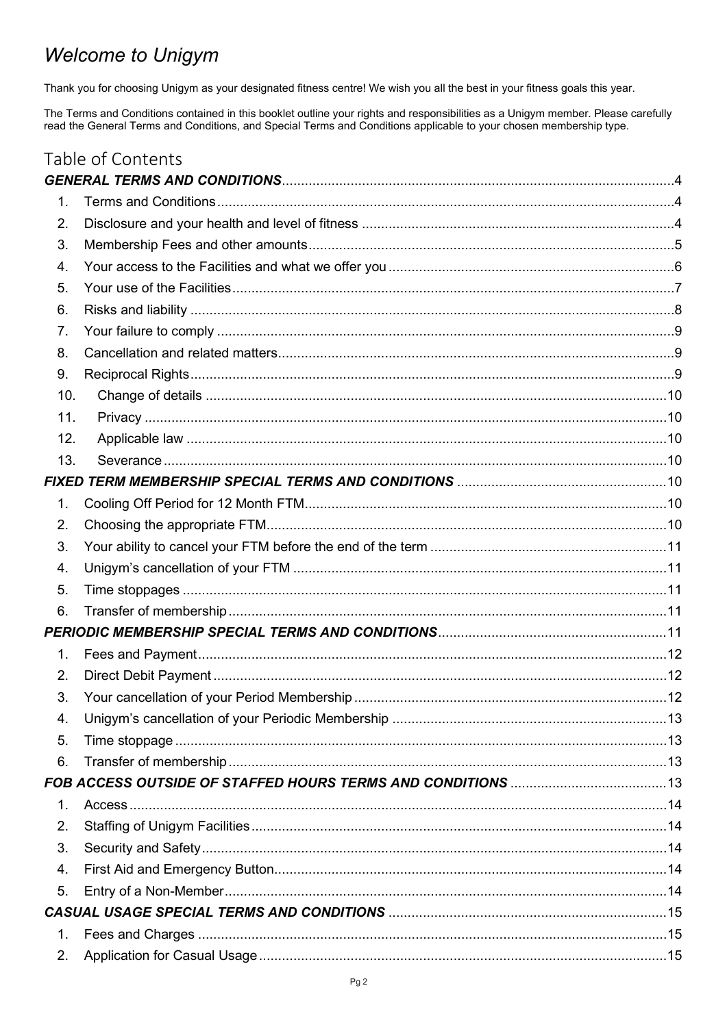## **Welcome to Unigym**

Thank you for choosing Unigym as your designated fitness centre! We wish you all the best in your fitness goals this year.

The Terms and Conditions contained in this booklet outline your rights and responsibilities as a Unigym member. Please carefully read the General Terms and Conditions, and Special Terms and Conditions applicable to your ch

|                  | Table of Contents                                                       |  |
|------------------|-------------------------------------------------------------------------|--|
|                  |                                                                         |  |
| $\mathbf{1}$ .   |                                                                         |  |
| 2.               |                                                                         |  |
| 3.               |                                                                         |  |
| $\overline{4}$ . |                                                                         |  |
| 5.               |                                                                         |  |
| 6.               |                                                                         |  |
| 7.               |                                                                         |  |
| 8.               |                                                                         |  |
| 9.               |                                                                         |  |
| 10.              |                                                                         |  |
| 11.              |                                                                         |  |
| 12.              |                                                                         |  |
| 13.              |                                                                         |  |
|                  | FIXED TERM MEMBERSHIP SPECIAL TERMS AND CONDITIONS ………………………………………………10 |  |
| 1.               |                                                                         |  |
| 2.               |                                                                         |  |
| 3.               |                                                                         |  |
| 4.               |                                                                         |  |
| 5.               |                                                                         |  |
| 6.               |                                                                         |  |
|                  |                                                                         |  |
| 1 <sub>1</sub>   |                                                                         |  |
| 2.               |                                                                         |  |
| 3.               |                                                                         |  |
| 4.               |                                                                         |  |
| 5.               |                                                                         |  |
| 6.               |                                                                         |  |
|                  |                                                                         |  |
| 1.               |                                                                         |  |
| 2.               |                                                                         |  |
| 3.               |                                                                         |  |
| 4.               |                                                                         |  |
| 5.               |                                                                         |  |
|                  |                                                                         |  |
| 1.               |                                                                         |  |
| 2.               |                                                                         |  |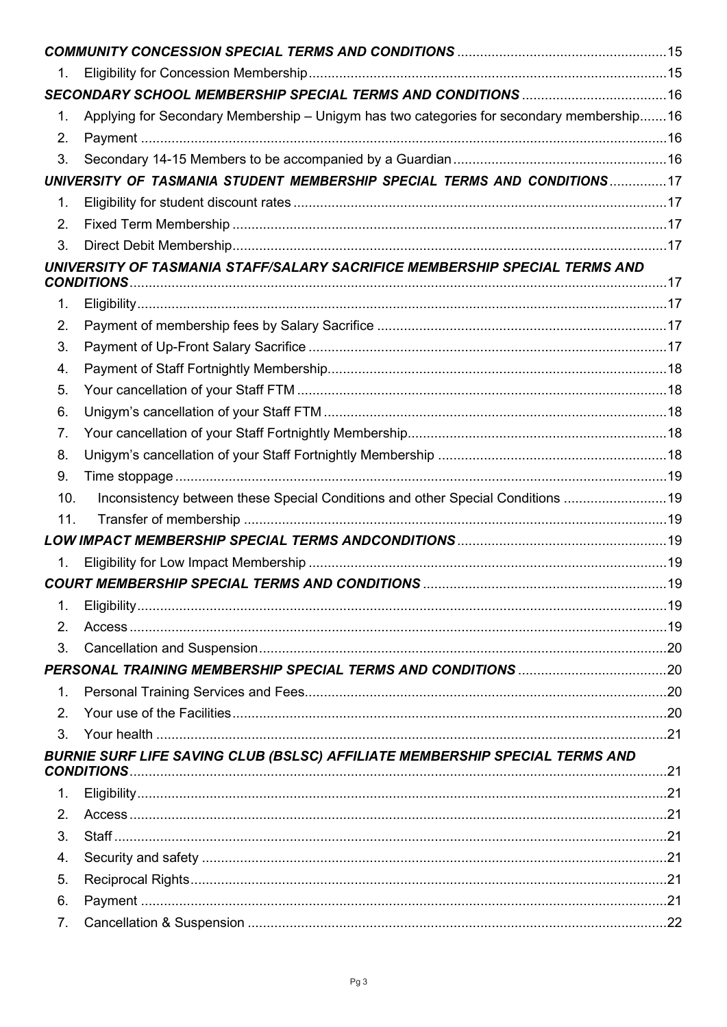| 1.<br>Applying for Secondary Membership - Unigym has two categories for secondary membership16<br>1.<br>2.<br>3.<br>UNIVERSITY OF TASMANIA STUDENT MEMBERSHIP SPECIAL TERMS AND CONDITIONS17<br>1.<br>2.<br>3.<br>UNIVERSITY OF TASMANIA STAFF/SALARY SACRIFICE MEMBERSHIP SPECIAL TERMS AND<br>1.<br>2.<br>3.<br>4.<br>5.<br>6.<br>7.<br>8.<br>9.<br>Inconsistency between these Special Conditions and other Special Conditions 19<br>10.<br>11.<br>LOW IMPACT MEMBERSHIP SPECIAL TERMS ANDCONDITIONS ……………………………………………………………19<br>1.<br><b>COURT MEMBERSHIP SPECIAL TERMS AND CONDITIONS</b><br>1.<br>2.<br>3.<br>1.<br>2.<br>3.<br>BURNIE SURF LIFE SAVING CLUB (BSLSC) AFFILIATE MEMBERSHIP SPECIAL TERMS AND<br><b>CONDITIONS</b><br>1.<br>2.<br>3.<br>4.<br>5.<br>6. |    |  |
|-----------------------------------------------------------------------------------------------------------------------------------------------------------------------------------------------------------------------------------------------------------------------------------------------------------------------------------------------------------------------------------------------------------------------------------------------------------------------------------------------------------------------------------------------------------------------------------------------------------------------------------------------------------------------------------------------------------------------------------------------------------------------------|----|--|
|                                                                                                                                                                                                                                                                                                                                                                                                                                                                                                                                                                                                                                                                                                                                                                             |    |  |
|                                                                                                                                                                                                                                                                                                                                                                                                                                                                                                                                                                                                                                                                                                                                                                             |    |  |
|                                                                                                                                                                                                                                                                                                                                                                                                                                                                                                                                                                                                                                                                                                                                                                             |    |  |
|                                                                                                                                                                                                                                                                                                                                                                                                                                                                                                                                                                                                                                                                                                                                                                             |    |  |
|                                                                                                                                                                                                                                                                                                                                                                                                                                                                                                                                                                                                                                                                                                                                                                             |    |  |
|                                                                                                                                                                                                                                                                                                                                                                                                                                                                                                                                                                                                                                                                                                                                                                             |    |  |
|                                                                                                                                                                                                                                                                                                                                                                                                                                                                                                                                                                                                                                                                                                                                                                             |    |  |
|                                                                                                                                                                                                                                                                                                                                                                                                                                                                                                                                                                                                                                                                                                                                                                             |    |  |
|                                                                                                                                                                                                                                                                                                                                                                                                                                                                                                                                                                                                                                                                                                                                                                             |    |  |
|                                                                                                                                                                                                                                                                                                                                                                                                                                                                                                                                                                                                                                                                                                                                                                             |    |  |
|                                                                                                                                                                                                                                                                                                                                                                                                                                                                                                                                                                                                                                                                                                                                                                             |    |  |
|                                                                                                                                                                                                                                                                                                                                                                                                                                                                                                                                                                                                                                                                                                                                                                             |    |  |
|                                                                                                                                                                                                                                                                                                                                                                                                                                                                                                                                                                                                                                                                                                                                                                             |    |  |
|                                                                                                                                                                                                                                                                                                                                                                                                                                                                                                                                                                                                                                                                                                                                                                             |    |  |
|                                                                                                                                                                                                                                                                                                                                                                                                                                                                                                                                                                                                                                                                                                                                                                             |    |  |
|                                                                                                                                                                                                                                                                                                                                                                                                                                                                                                                                                                                                                                                                                                                                                                             |    |  |
|                                                                                                                                                                                                                                                                                                                                                                                                                                                                                                                                                                                                                                                                                                                                                                             |    |  |
|                                                                                                                                                                                                                                                                                                                                                                                                                                                                                                                                                                                                                                                                                                                                                                             |    |  |
|                                                                                                                                                                                                                                                                                                                                                                                                                                                                                                                                                                                                                                                                                                                                                                             |    |  |
|                                                                                                                                                                                                                                                                                                                                                                                                                                                                                                                                                                                                                                                                                                                                                                             |    |  |
|                                                                                                                                                                                                                                                                                                                                                                                                                                                                                                                                                                                                                                                                                                                                                                             |    |  |
|                                                                                                                                                                                                                                                                                                                                                                                                                                                                                                                                                                                                                                                                                                                                                                             |    |  |
|                                                                                                                                                                                                                                                                                                                                                                                                                                                                                                                                                                                                                                                                                                                                                                             |    |  |
|                                                                                                                                                                                                                                                                                                                                                                                                                                                                                                                                                                                                                                                                                                                                                                             |    |  |
|                                                                                                                                                                                                                                                                                                                                                                                                                                                                                                                                                                                                                                                                                                                                                                             |    |  |
|                                                                                                                                                                                                                                                                                                                                                                                                                                                                                                                                                                                                                                                                                                                                                                             |    |  |
|                                                                                                                                                                                                                                                                                                                                                                                                                                                                                                                                                                                                                                                                                                                                                                             |    |  |
|                                                                                                                                                                                                                                                                                                                                                                                                                                                                                                                                                                                                                                                                                                                                                                             |    |  |
|                                                                                                                                                                                                                                                                                                                                                                                                                                                                                                                                                                                                                                                                                                                                                                             |    |  |
|                                                                                                                                                                                                                                                                                                                                                                                                                                                                                                                                                                                                                                                                                                                                                                             |    |  |
|                                                                                                                                                                                                                                                                                                                                                                                                                                                                                                                                                                                                                                                                                                                                                                             |    |  |
|                                                                                                                                                                                                                                                                                                                                                                                                                                                                                                                                                                                                                                                                                                                                                                             |    |  |
|                                                                                                                                                                                                                                                                                                                                                                                                                                                                                                                                                                                                                                                                                                                                                                             |    |  |
|                                                                                                                                                                                                                                                                                                                                                                                                                                                                                                                                                                                                                                                                                                                                                                             |    |  |
|                                                                                                                                                                                                                                                                                                                                                                                                                                                                                                                                                                                                                                                                                                                                                                             |    |  |
|                                                                                                                                                                                                                                                                                                                                                                                                                                                                                                                                                                                                                                                                                                                                                                             |    |  |
|                                                                                                                                                                                                                                                                                                                                                                                                                                                                                                                                                                                                                                                                                                                                                                             |    |  |
|                                                                                                                                                                                                                                                                                                                                                                                                                                                                                                                                                                                                                                                                                                                                                                             |    |  |
|                                                                                                                                                                                                                                                                                                                                                                                                                                                                                                                                                                                                                                                                                                                                                                             |    |  |
|                                                                                                                                                                                                                                                                                                                                                                                                                                                                                                                                                                                                                                                                                                                                                                             | 7. |  |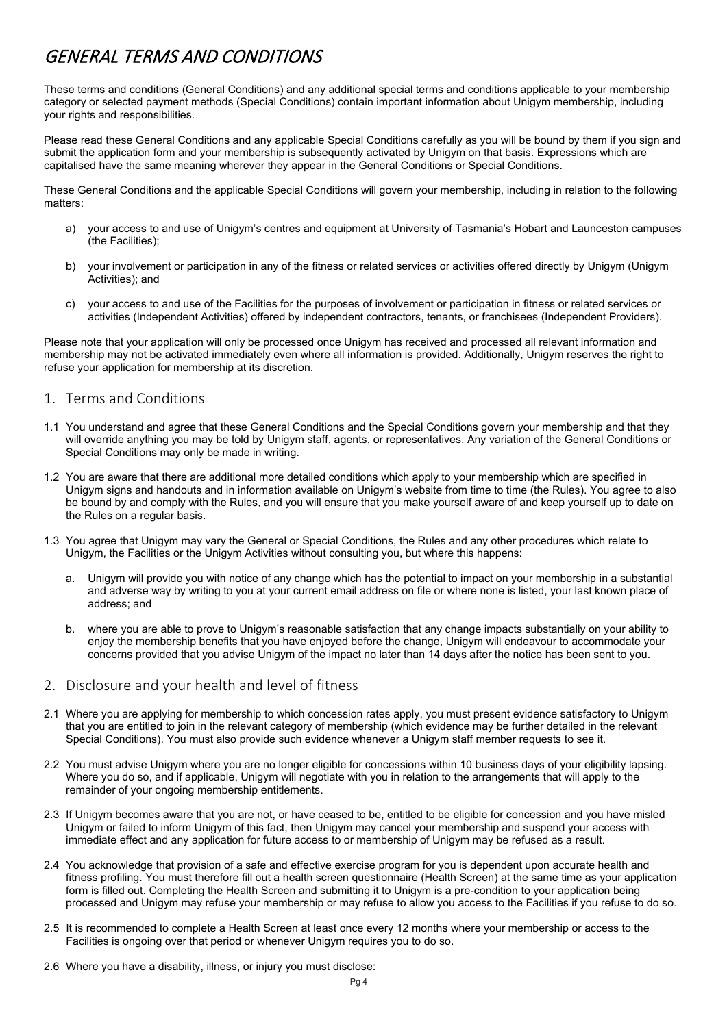## <span id="page-3-0"></span>GENERAL TERMS AND CONDITIONS

These terms and conditions (General Conditions) and any additional special terms and conditions applicable to your membership category or selected payment methods (Special Conditions) contain important information about Unigym membership, including your rights and responsibilities.

Please read these General Conditions and any applicable Special Conditions carefully as you will be bound by them if you sign and submit the application form and your membership is subsequently activated by Unigym on that basis. Expressions which are capitalised have the same meaning wherever they appear in the General Conditions or Special Conditions.

These General Conditions and the applicable Special Conditions will govern your membership, including in relation to the following matters:

- a) your access to and use of Unigym's centres and equipment at University of Tasmania's Hobart and Launceston campuses (the Facilities);
- b) your involvement or participation in any of the fitness or related services or activities offered directly by Unigym (Unigym Activities); and
- c) your access to and use of the Facilities for the purposes of involvement or participation in fitness or related services or activities (Independent Activities) offered by independent contractors, tenants, or franchisees (Independent Providers).

Please note that your application will only be processed once Unigym has received and processed all relevant information and membership may not be activated immediately even where all information is provided. Additionally, Unigym reserves the right to refuse your application for membership at its discretion.

## <span id="page-3-1"></span>1. Terms and Conditions

- 1.1 You understand and agree that these General Conditions and the Special Conditions govern your membership and that they will override anything you may be told by Unigym staff, agents, or representatives. Any variation of the General Conditions or Special Conditions may only be made in writing.
- 1.2 You are aware that there are additional more detailed conditions which apply to your membership which are specified in Unigym signs and handouts and in information available on Unigym's website from time to time (the Rules). You agree to also be bound by and comply with the Rules, and you will ensure that you make yourself aware of and keep yourself up to date on the Rules on a regular basis.
- 1.3 You agree that Unigym may vary the General or Special Conditions, the Rules and any other procedures which relate to Unigym, the Facilities or the Unigym Activities without consulting you, but where this happens:
	- a. Unigym will provide you with notice of any change which has the potential to impact on your membership in a substantial and adverse way by writing to you at your current email address on file or where none is listed, your last known place of address; and
	- b. where you are able to prove to Unigym's reasonable satisfaction that any change impacts substantially on your ability to enjoy the membership benefits that you have enjoyed before the change, Unigym will endeavour to accommodate your concerns provided that you advise Unigym of the impact no later than 14 days after the notice has been sent to you.
- <span id="page-3-2"></span>2. Disclosure and your health and level of fitness
- 2.1 Where you are applying for membership to which concession rates apply, you must present evidence satisfactory to Unigym that you are entitled to join in the relevant category of membership (which evidence may be further detailed in the relevant Special Conditions). You must also provide such evidence whenever a Unigym staff member requests to see it.
- 2.2 You must advise Unigym where you are no longer eligible for concessions within 10 business days of your eligibility lapsing. Where you do so, and if applicable, Unigym will negotiate with you in relation to the arrangements that will apply to the remainder of your ongoing membership entitlements.
- 2.3 If Unigym becomes aware that you are not, or have ceased to be, entitled to be eligible for concession and you have misled Unigym or failed to inform Unigym of this fact, then Unigym may cancel your membership and suspend your access with immediate effect and any application for future access to or membership of Unigym may be refused as a result.
- 2.4 You acknowledge that provision of a safe and effective exercise program for you is dependent upon accurate health and fitness profiling. You must therefore fill out a health screen questionnaire (Health Screen) at the same time as your application form is filled out. Completing the Health Screen and submitting it to Unigym is a pre-condition to your application being processed and Unigym may refuse your membership or may refuse to allow you access to the Facilities if you refuse to do so.
- 2.5 It is recommended to complete a Health Screen at least once every 12 months where your membership or access to the Facilities is ongoing over that period or whenever Unigym requires you to do so.
- 2.6 Where you have a disability, illness, or injury you must disclose: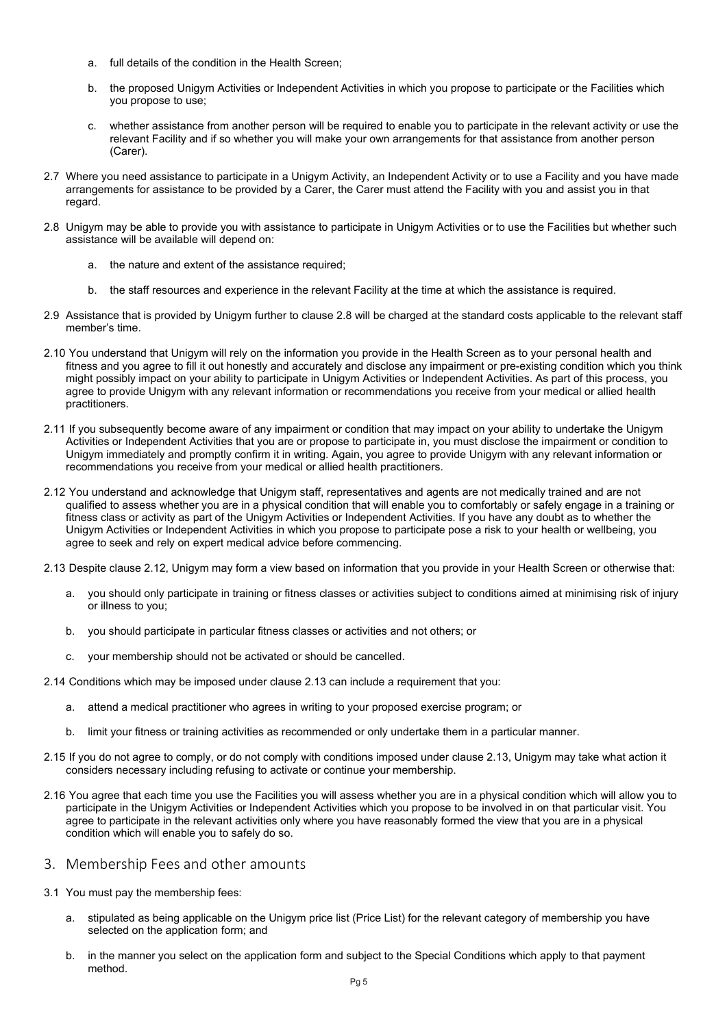- a. full details of the condition in the Health Screen;
- b. the proposed Unigym Activities or Independent Activities in which you propose to participate or the Facilities which you propose to use;
- c. whether assistance from another person will be required to enable you to participate in the relevant activity or use the relevant Facility and if so whether you will make your own arrangements for that assistance from another person (Carer).
- 2.7 Where you need assistance to participate in a Unigym Activity, an Independent Activity or to use a Facility and you have made arrangements for assistance to be provided by a Carer, the Carer must attend the Facility with you and assist you in that regard.
- 2.8 Unigym may be able to provide you with assistance to participate in Unigym Activities or to use the Facilities but whether such assistance will be available will depend on:
	- a. the nature and extent of the assistance required;
	- b. the staff resources and experience in the relevant Facility at the time at which the assistance is required.
- 2.9 Assistance that is provided by Unigym further to clause 2.8 will be charged at the standard costs applicable to the relevant staff member's time.
- 2.10 You understand that Unigym will rely on the information you provide in the Health Screen as to your personal health and fitness and you agree to fill it out honestly and accurately and disclose any impairment or pre-existing condition which you think might possibly impact on your ability to participate in Unigym Activities or Independent Activities. As part of this process, you agree to provide Unigym with any relevant information or recommendations you receive from your medical or allied health practitioners.
- 2.11 If you subsequently become aware of any impairment or condition that may impact on your ability to undertake the Unigym Activities or Independent Activities that you are or propose to participate in, you must disclose the impairment or condition to Unigym immediately and promptly confirm it in writing. Again, you agree to provide Unigym with any relevant information or recommendations you receive from your medical or allied health practitioners.
- 2.12 You understand and acknowledge that Unigym staff, representatives and agents are not medically trained and are not qualified to assess whether you are in a physical condition that will enable you to comfortably or safely engage in a training or fitness class or activity as part of the Unigym Activities or Independent Activities. If you have any doubt as to whether the Unigym Activities or Independent Activities in which you propose to participate pose a risk to your health or wellbeing, you agree to seek and rely on expert medical advice before commencing.
- 2.13 Despite clause 2.12, Unigym may form a view based on information that you provide in your Health Screen or otherwise that:
	- a. you should only participate in training or fitness classes or activities subject to conditions aimed at minimising risk of injury or illness to you;
	- b. you should participate in particular fitness classes or activities and not others; or
	- c. your membership should not be activated or should be cancelled.
- 2.14 Conditions which may be imposed under clause 2.13 can include a requirement that you:
	- a. attend a medical practitioner who agrees in writing to your proposed exercise program; or
	- b. limit your fitness or training activities as recommended or only undertake them in a particular manner.
- 2.15 If you do not agree to comply, or do not comply with conditions imposed under clause 2.13, Unigym may take what action it considers necessary including refusing to activate or continue your membership.
- 2.16 You agree that each time you use the Facilities you will assess whether you are in a physical condition which will allow you to participate in the Unigym Activities or Independent Activities which you propose to be involved in on that particular visit. You agree to participate in the relevant activities only where you have reasonably formed the view that you are in a physical condition which will enable you to safely do so.
- <span id="page-4-0"></span>3. Membership Fees and other amounts
- 3.1 You must pay the membership fees:
	- a. stipulated as being applicable on the Unigym price list (Price List) for the relevant category of membership you have selected on the application form; and
	- b. in the manner you select on the application form and subject to the Special Conditions which apply to that payment method.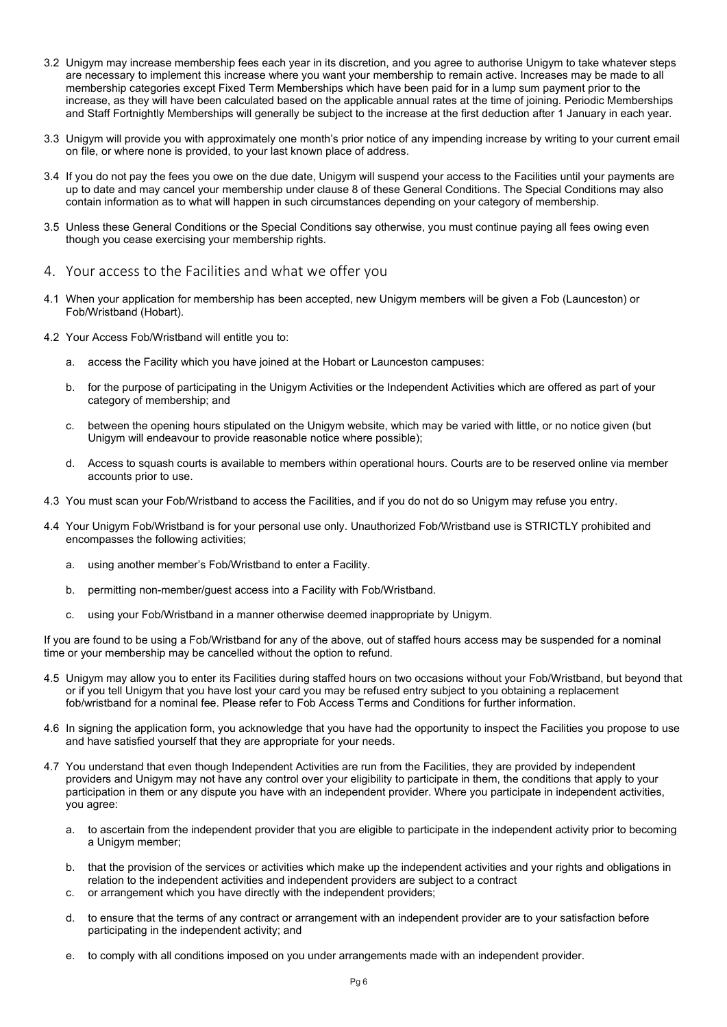- 3.2 Unigym may increase membership fees each year in its discretion, and you agree to authorise Unigym to take whatever steps are necessary to implement this increase where you want your membership to remain active. Increases may be made to all membership categories except Fixed Term Memberships which have been paid for in a lump sum payment prior to the increase, as they will have been calculated based on the applicable annual rates at the time of joining. Periodic Memberships and Staff Fortnightly Memberships will generally be subject to the increase at the first deduction after 1 January in each year.
- 3.3 Unigym will provide you with approximately one month's prior notice of any impending increase by writing to your current email on file, or where none is provided, to your last known place of address.
- 3.4 If you do not pay the fees you owe on the due date, Unigym will suspend your access to the Facilities until your payments are up to date and may cancel your membership under clause 8 of these General Conditions. The Special Conditions may also contain information as to what will happen in such circumstances depending on your category of membership.
- 3.5 Unless these General Conditions or the Special Conditions say otherwise, you must continue paying all fees owing even though you cease exercising your membership rights.
- <span id="page-5-0"></span>4. Your access to the Facilities and what we offer you
- 4.1 When your application for membership has been accepted, new Unigym members will be given a Fob (Launceston) or Fob/Wristband (Hobart).
- 4.2 Your Access Fob/Wristband will entitle you to:
	- a. access the Facility which you have joined at the Hobart or Launceston campuses:
	- b. for the purpose of participating in the Unigym Activities or the Independent Activities which are offered as part of your category of membership; and
	- c. between the opening hours stipulated on the Unigym website, which may be varied with little, or no notice given (but Unigym will endeavour to provide reasonable notice where possible);
	- d. Access to squash courts is available to members within operational hours. Courts are to be reserved online via member accounts prior to use.
- 4.3 You must scan your Fob/Wristband to access the Facilities, and if you do not do so Unigym may refuse you entry.
- 4.4 Your Unigym Fob/Wristband is for your personal use only. Unauthorized Fob/Wristband use is STRICTLY prohibited and encompasses the following activities;
	- a. using another member's Fob/Wristband to enter a Facility.
	- b. permitting non-member/guest access into a Facility with Fob/Wristband.
	- c. using your Fob/Wristband in a manner otherwise deemed inappropriate by Unigym.

If you are found to be using a Fob/Wristband for any of the above, out of staffed hours access may be suspended for a nominal time or your membership may be cancelled without the option to refund.

- 4.5 Unigym may allow you to enter its Facilities during staffed hours on two occasions without your Fob/Wristband, but beyond that or if you tell Unigym that you have lost your card you may be refused entry subject to you obtaining a replacement fob/wristband for a nominal fee. Please refer to Fob Access Terms and Conditions for further information.
- 4.6 In signing the application form, you acknowledge that you have had the opportunity to inspect the Facilities you propose to use and have satisfied yourself that they are appropriate for your needs.
- 4.7 You understand that even though Independent Activities are run from the Facilities, they are provided by independent providers and Unigym may not have any control over your eligibility to participate in them, the conditions that apply to your participation in them or any dispute you have with an independent provider. Where you participate in independent activities, you agree:
	- a. to ascertain from the independent provider that you are eligible to participate in the independent activity prior to becoming a Unigym member;
	- b. that the provision of the services or activities which make up the independent activities and your rights and obligations in relation to the independent activities and independent providers are subject to a contract
	- c. or arrangement which you have directly with the independent providers;
	- d. to ensure that the terms of any contract or arrangement with an independent provider are to your satisfaction before participating in the independent activity; and
	- e. to comply with all conditions imposed on you under arrangements made with an independent provider.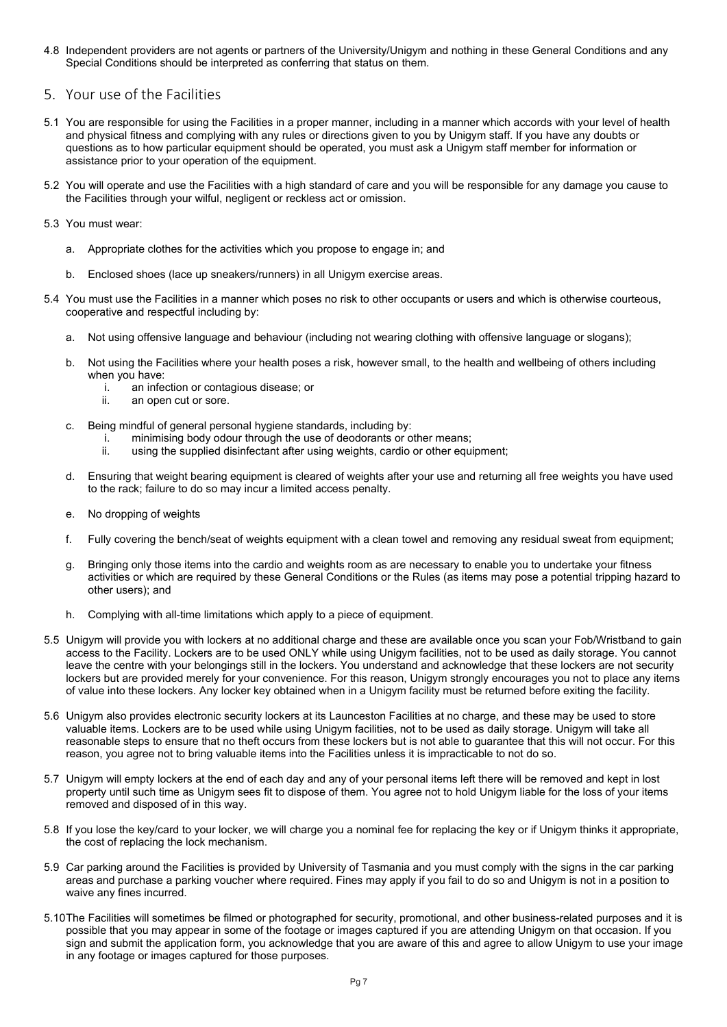4.8 Independent providers are not agents or partners of the University/Unigym and nothing in these General Conditions and any Special Conditions should be interpreted as conferring that status on them.

## <span id="page-6-0"></span>5. Your use of the Facilities

- 5.1 You are responsible for using the Facilities in a proper manner, including in a manner which accords with your level of health and physical fitness and complying with any rules or directions given to you by Unigym staff. If you have any doubts or questions as to how particular equipment should be operated, you must ask a Unigym staff member for information or assistance prior to your operation of the equipment.
- 5.2 You will operate and use the Facilities with a high standard of care and you will be responsible for any damage you cause to the Facilities through your wilful, negligent or reckless act or omission.
- 5.3 You must wear:
	- a. Appropriate clothes for the activities which you propose to engage in; and
	- b. Enclosed shoes (lace up sneakers/runners) in all Unigym exercise areas.
- 5.4 You must use the Facilities in a manner which poses no risk to other occupants or users and which is otherwise courteous, cooperative and respectful including by:
	- a. Not using offensive language and behaviour (including not wearing clothing with offensive language or slogans);
	- b. Not using the Facilities where your health poses a risk, however small, to the health and wellbeing of others including when you have:
		- i. an infection or contagious disease; or
		- ii. an open cut or sore.
	- c. Being mindful of general personal hygiene standards, including by:
		- i. minimising body odour through the use of deodorants or other means;<br>ii. using the supplied disinfectant after using weights, cardio or other equ
			- using the supplied disinfectant after using weights, cardio or other equipment;
	- d. Ensuring that weight bearing equipment is cleared of weights after your use and returning all free weights you have used to the rack; failure to do so may incur a limited access penalty.
	- e. No dropping of weights
	- f. Fully covering the bench/seat of weights equipment with a clean towel and removing any residual sweat from equipment;
	- g. Bringing only those items into the cardio and weights room as are necessary to enable you to undertake your fitness activities or which are required by these General Conditions or the Rules (as items may pose a potential tripping hazard to other users); and
	- h. Complying with all-time limitations which apply to a piece of equipment.
- 5.5 Unigym will provide you with lockers at no additional charge and these are available once you scan your Fob/Wristband to gain access to the Facility. Lockers are to be used ONLY while using Unigym facilities, not to be used as daily storage. You cannot leave the centre with your belongings still in the lockers. You understand and acknowledge that these lockers are not security lockers but are provided merely for your convenience. For this reason, Unigym strongly encourages you not to place any items of value into these lockers. Any locker key obtained when in a Unigym facility must be returned before exiting the facility.
- 5.6 Unigym also provides electronic security lockers at its Launceston Facilities at no charge, and these may be used to store valuable items. Lockers are to be used while using Unigym facilities, not to be used as daily storage. Unigym will take all reasonable steps to ensure that no theft occurs from these lockers but is not able to guarantee that this will not occur. For this reason, you agree not to bring valuable items into the Facilities unless it is impracticable to not do so.
- 5.7 Unigym will empty lockers at the end of each day and any of your personal items left there will be removed and kept in lost property until such time as Unigym sees fit to dispose of them. You agree not to hold Unigym liable for the loss of your items removed and disposed of in this way.
- 5.8 If you lose the key/card to your locker, we will charge you a nominal fee for replacing the key or if Unigym thinks it appropriate, the cost of replacing the lock mechanism.
- 5.9 Car parking around the Facilities is provided by University of Tasmania and you must comply with the signs in the car parking areas and purchase a parking voucher where required. Fines may apply if you fail to do so and Unigym is not in a position to waive any fines incurred.
- 5.10The Facilities will sometimes be filmed or photographed for security, promotional, and other business-related purposes and it is possible that you may appear in some of the footage or images captured if you are attending Unigym on that occasion. If you sign and submit the application form, you acknowledge that you are aware of this and agree to allow Unigym to use your image in any footage or images captured for those purposes.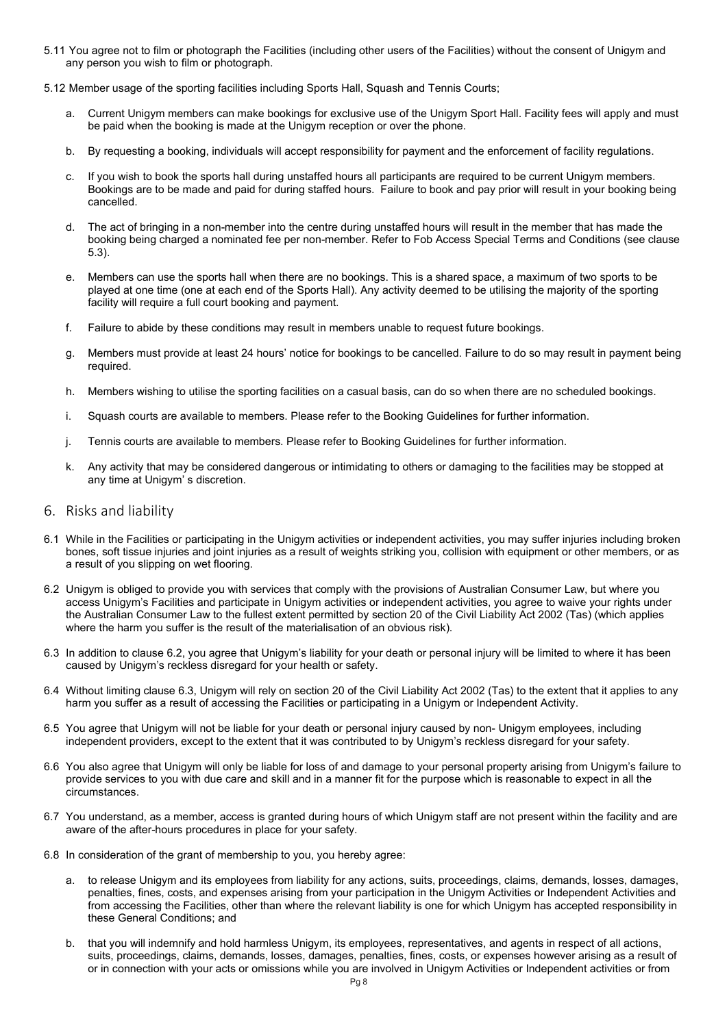- 5.11 You agree not to film or photograph the Facilities (including other users of the Facilities) without the consent of Unigym and any person you wish to film or photograph.
- 5.12 Member usage of the sporting facilities including Sports Hall, Squash and Tennis Courts;
	- a. Current Unigym members can make bookings for exclusive use of the Unigym Sport Hall. Facility fees will apply and must be paid when the booking is made at the Unigym reception or over the phone.
	- b. By requesting a booking, individuals will accept responsibility for payment and the enforcement of facility regulations.
	- c. If you wish to book the sports hall during unstaffed hours all participants are required to be current Unigym members. Bookings are to be made and paid for during staffed hours. Failure to book and pay prior will result in your booking being cancelled.
	- d. The act of bringing in a non-member into the centre during unstaffed hours will result in the member that has made the booking being charged a nominated fee per non-member. Refer to Fob Access Special Terms and Conditions (see clause 5.3).
	- e. Members can use the sports hall when there are no bookings. This is a shared space, a maximum of two sports to be played at one time (one at each end of the Sports Hall). Any activity deemed to be utilising the majority of the sporting facility will require a full court booking and payment.
	- f. Failure to abide by these conditions may result in members unable to request future bookings.
	- g. Members must provide at least 24 hours' notice for bookings to be cancelled. Failure to do so may result in payment being required.
	- h. Members wishing to utilise the sporting facilities on a casual basis, can do so when there are no scheduled bookings.
	- i. Squash courts are available to members. Please refer to the Booking Guidelines for further information.
	- j. Tennis courts are available to members. Please refer to Booking Guidelines for further information.
	- k. Any activity that may be considered dangerous or intimidating to others or damaging to the facilities may be stopped at any time at Unigym' s discretion.
- <span id="page-7-0"></span>6. Risks and liability
- 6.1 While in the Facilities or participating in the Unigym activities or independent activities, you may suffer injuries including broken bones, soft tissue injuries and joint injuries as a result of weights striking you, collision with equipment or other members, or as a result of you slipping on wet flooring.
- 6.2 Unigym is obliged to provide you with services that comply with the provisions of Australian Consumer Law, but where you access Unigym's Facilities and participate in Unigym activities or independent activities, you agree to waive your rights under the Australian Consumer Law to the fullest extent permitted by section 20 of the Civil Liability Act 2002 (Tas) (which applies where the harm you suffer is the result of the materialisation of an obvious risk).
- 6.3 In addition to clause 6.2, you agree that Unigym's liability for your death or personal injury will be limited to where it has been caused by Unigym's reckless disregard for your health or safety.
- 6.4 Without limiting clause 6.3, Unigym will rely on section 20 of the Civil Liability Act 2002 (Tas) to the extent that it applies to any harm you suffer as a result of accessing the Facilities or participating in a Unigym or Independent Activity.
- 6.5 You agree that Unigym will not be liable for your death or personal injury caused by non- Unigym employees, including independent providers, except to the extent that it was contributed to by Unigym's reckless disregard for your safety.
- 6.6 You also agree that Unigym will only be liable for loss of and damage to your personal property arising from Unigym's failure to provide services to you with due care and skill and in a manner fit for the purpose which is reasonable to expect in all the circumstances.
- 6.7 You understand, as a member, access is granted during hours of which Unigym staff are not present within the facility and are aware of the after-hours procedures in place for your safety.
- 6.8 In consideration of the grant of membership to you, you hereby agree:
	- a. to release Unigym and its employees from liability for any actions, suits, proceedings, claims, demands, losses, damages, penalties, fines, costs, and expenses arising from your participation in the Unigym Activities or Independent Activities and from accessing the Facilities, other than where the relevant liability is one for which Unigym has accepted responsibility in these General Conditions; and
	- b. that you will indemnify and hold harmless Unigym, its employees, representatives, and agents in respect of all actions, suits, proceedings, claims, demands, losses, damages, penalties, fines, costs, or expenses however arising as a result of or in connection with your acts or omissions while you are involved in Unigym Activities or Independent activities or from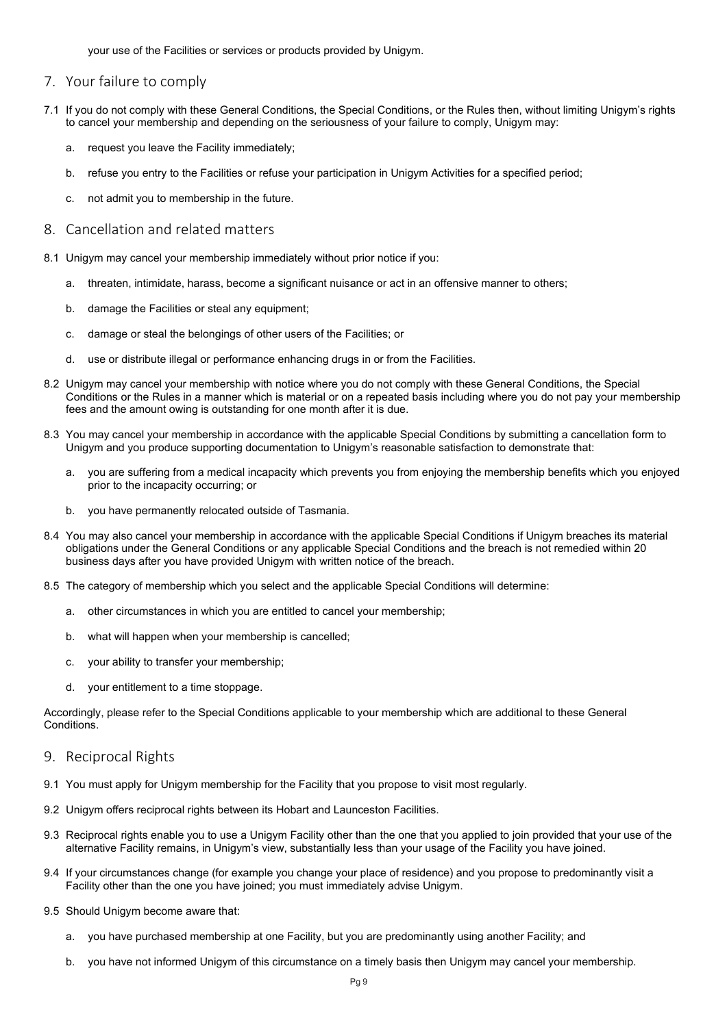your use of the Facilities or services or products provided by Unigym.

#### <span id="page-8-0"></span>7. Your failure to comply

- 7.1 If you do not comply with these General Conditions, the Special Conditions, or the Rules then, without limiting Unigym's rights to cancel your membership and depending on the seriousness of your failure to comply, Unigym may:
	- a. request you leave the Facility immediately;
	- b. refuse you entry to the Facilities or refuse your participation in Unigym Activities for a specified period;
	- c. not admit you to membership in the future.

## <span id="page-8-1"></span>8. Cancellation and related matters

- 8.1 Unigym may cancel your membership immediately without prior notice if you:
	- a. threaten, intimidate, harass, become a significant nuisance or act in an offensive manner to others;
	- b. damage the Facilities or steal any equipment;
	- c. damage or steal the belongings of other users of the Facilities; or
	- d. use or distribute illegal or performance enhancing drugs in or from the Facilities.
- 8.2 Unigym may cancel your membership with notice where you do not comply with these General Conditions, the Special Conditions or the Rules in a manner which is material or on a repeated basis including where you do not pay your membership fees and the amount owing is outstanding for one month after it is due.
- 8.3 You may cancel your membership in accordance with the applicable Special Conditions by submitting a cancellation form to Unigym and you produce supporting documentation to Unigym's reasonable satisfaction to demonstrate that:
	- a. you are suffering from a medical incapacity which prevents you from enjoying the membership benefits which you enjoyed prior to the incapacity occurring; or
	- b. you have permanently relocated outside of Tasmania.
- 8.4 You may also cancel your membership in accordance with the applicable Special Conditions if Unigym breaches its material obligations under the General Conditions or any applicable Special Conditions and the breach is not remedied within 20 business days after you have provided Unigym with written notice of the breach.
- 8.5 The category of membership which you select and the applicable Special Conditions will determine:
	- a. other circumstances in which you are entitled to cancel your membership;
	- b. what will happen when your membership is cancelled;
	- c. your ability to transfer your membership;
	- d. your entitlement to a time stoppage.

Accordingly, please refer to the Special Conditions applicable to your membership which are additional to these General Conditions.

#### <span id="page-8-2"></span>9. Reciprocal Rights

- 9.1 You must apply for Unigym membership for the Facility that you propose to visit most regularly.
- 9.2 Unigym offers reciprocal rights between its Hobart and Launceston Facilities.
- 9.3 Reciprocal rights enable you to use a Unigym Facility other than the one that you applied to join provided that your use of the alternative Facility remains, in Unigym's view, substantially less than your usage of the Facility you have joined.
- 9.4 If your circumstances change (for example you change your place of residence) and you propose to predominantly visit a Facility other than the one you have joined; you must immediately advise Unigym.
- 9.5 Should Unigym become aware that:
	- a. you have purchased membership at one Facility, but you are predominantly using another Facility; and
	- b. you have not informed Unigym of this circumstance on a timely basis then Unigym may cancel your membership.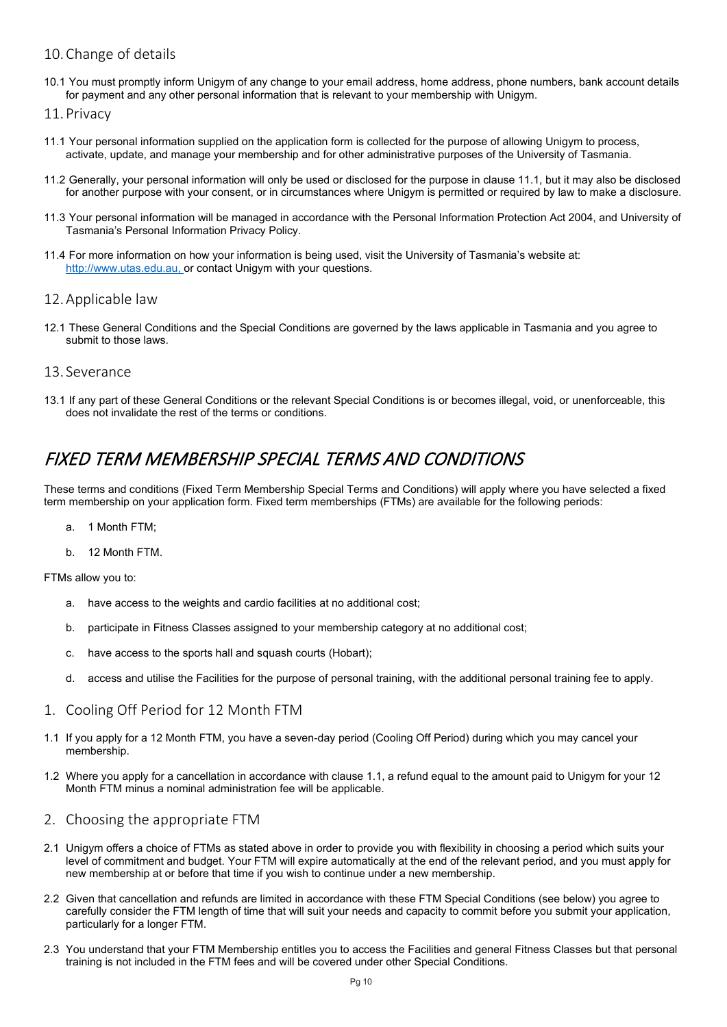## <span id="page-9-0"></span>10.Change of details

- 10.1 You must promptly inform Unigym of any change to your email address, home address, phone numbers, bank account details for payment and any other personal information that is relevant to your membership with Unigym.
- <span id="page-9-1"></span>11.Privacy
- 11.1 Your personal information supplied on the application form is collected for the purpose of allowing Unigym to process, activate, update, and manage your membership and for other administrative purposes of the University of Tasmania.
- 11.2 Generally, your personal information will only be used or disclosed for the purpose in clause 11.1, but it may also be disclosed for another purpose with your consent, or in circumstances where Unigym is permitted or required by law to make a disclosure.
- 11.3 Your personal information will be managed in accordance with the Personal Information Protection Act 2004, and University of Tasmania's Personal Information Privacy Policy.
- 11.4 For more information on how your information is being used, visit the University of Tasmania's website at: http://www.utas.edu.au, or contact Unigym with your questions.

#### <span id="page-9-2"></span>12.Applicable law

- 12.1 These General Conditions and the Special Conditions are governed by the laws applicable in Tasmania and you agree to submit to those laws.
- <span id="page-9-3"></span>13. Severance
- 13.1 If any part of these General Conditions or the relevant Special Conditions is or becomes illegal, void, or unenforceable, this does not invalidate the rest of the terms or conditions.

## <span id="page-9-4"></span>FIXED TERM MEMBERSHIP SPECIAL TERMS AND CONDITIONS

These terms and conditions (Fixed Term Membership Special Terms and Conditions) will apply where you have selected a fixed term membership on your application form. Fixed term memberships (FTMs) are available for the following periods:

- a. 1 Month FTM;
- b. 12 Month FTM.

FTMs allow you to:

- a. have access to the weights and cardio facilities at no additional cost;
- b. participate in Fitness Classes assigned to your membership category at no additional cost;
- c. have access to the sports hall and squash courts (Hobart);
- d. access and utilise the Facilities for the purpose of personal training, with the additional personal training fee to apply.
- <span id="page-9-5"></span>1. Cooling Off Period for 12 Month FTM
- 1.1 If you apply for a 12 Month FTM, you have a seven-day period (Cooling Off Period) during which you may cancel your membership.
- 1.2 Where you apply for a cancellation in accordance with clause 1.1, a refund equal to the amount paid to Unigym for your 12 Month FTM minus a nominal administration fee will be applicable.
- <span id="page-9-6"></span>2. Choosing the appropriate FTM
- 2.1 Unigym offers a choice of FTMs as stated above in order to provide you with flexibility in choosing a period which suits your level of commitment and budget. Your FTM will expire automatically at the end of the relevant period, and you must apply for new membership at or before that time if you wish to continue under a new membership.
- 2.2 Given that cancellation and refunds are limited in accordance with these FTM Special Conditions (see below) you agree to carefully consider the FTM length of time that will suit your needs and capacity to commit before you submit your application, particularly for a longer FTM.
- 2.3 You understand that your FTM Membership entitles you to access the Facilities and general Fitness Classes but that personal training is not included in the FTM fees and will be covered under other Special Conditions.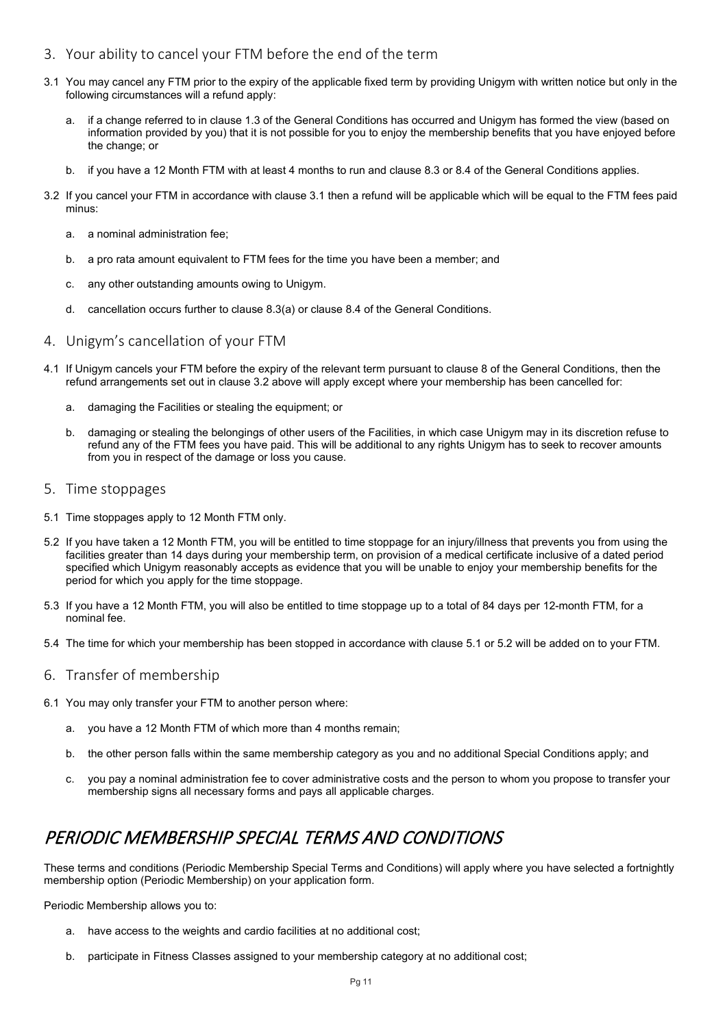- <span id="page-10-0"></span>3. Your ability to cancel your FTM before the end of the term
- 3.1 You may cancel any FTM prior to the expiry of the applicable fixed term by providing Unigym with written notice but only in the following circumstances will a refund apply:
	- a. if a change referred to in clause 1.3 of the General Conditions has occurred and Unigym has formed the view (based on information provided by you) that it is not possible for you to enjoy the membership benefits that you have enjoyed before the change; or
	- b. if you have a 12 Month FTM with at least 4 months to run and clause 8.3 or 8.4 of the General Conditions applies.
- 3.2 If you cancel your FTM in accordance with clause 3.1 then a refund will be applicable which will be equal to the FTM fees paid minus:
	- a. a nominal administration fee;
	- b. a pro rata amount equivalent to FTM fees for the time you have been a member; and
	- c. any other outstanding amounts owing to Unigym.
	- d. cancellation occurs further to clause 8.3(a) or clause 8.4 of the General Conditions.
- <span id="page-10-1"></span>4. Unigym's cancellation of your FTM
- 4.1 If Unigym cancels your FTM before the expiry of the relevant term pursuant to clause 8 of the General Conditions, then the refund arrangements set out in clause 3.2 above will apply except where your membership has been cancelled for:
	- a. damaging the Facilities or stealing the equipment; or
	- b. damaging or stealing the belongings of other users of the Facilities, in which case Unigym may in its discretion refuse to refund any of the FTM fees you have paid. This will be additional to any rights Unigym has to seek to recover amounts from you in respect of the damage or loss you cause.
- <span id="page-10-2"></span>5. Time stoppages
- 5.1 Time stoppages apply to 12 Month FTM only.
- 5.2 If you have taken a 12 Month FTM, you will be entitled to time stoppage for an injury/illness that prevents you from using the facilities greater than 14 days during your membership term, on provision of a medical certificate inclusive of a dated period specified which Unigym reasonably accepts as evidence that you will be unable to enjoy your membership benefits for the period for which you apply for the time stoppage.
- 5.3 If you have a 12 Month FTM, you will also be entitled to time stoppage up to a total of 84 days per 12-month FTM, for a nominal fee.
- 5.4 The time for which your membership has been stopped in accordance with clause 5.1 or 5.2 will be added on to your FTM.
- <span id="page-10-3"></span>6. Transfer of membership
- 6.1 You may only transfer your FTM to another person where:
	- a. you have a 12 Month FTM of which more than 4 months remain;
	- b. the other person falls within the same membership category as you and no additional Special Conditions apply; and
	- c. you pay a nominal administration fee to cover administrative costs and the person to whom you propose to transfer your membership signs all necessary forms and pays all applicable charges.

## <span id="page-10-4"></span>PERIODIC MEMBERSHIP SPECIAL TERMS AND CONDITIONS

These terms and conditions (Periodic Membership Special Terms and Conditions) will apply where you have selected a fortnightly membership option (Periodic Membership) on your application form.

Periodic Membership allows you to:

- a. have access to the weights and cardio facilities at no additional cost;
- b. participate in Fitness Classes assigned to your membership category at no additional cost;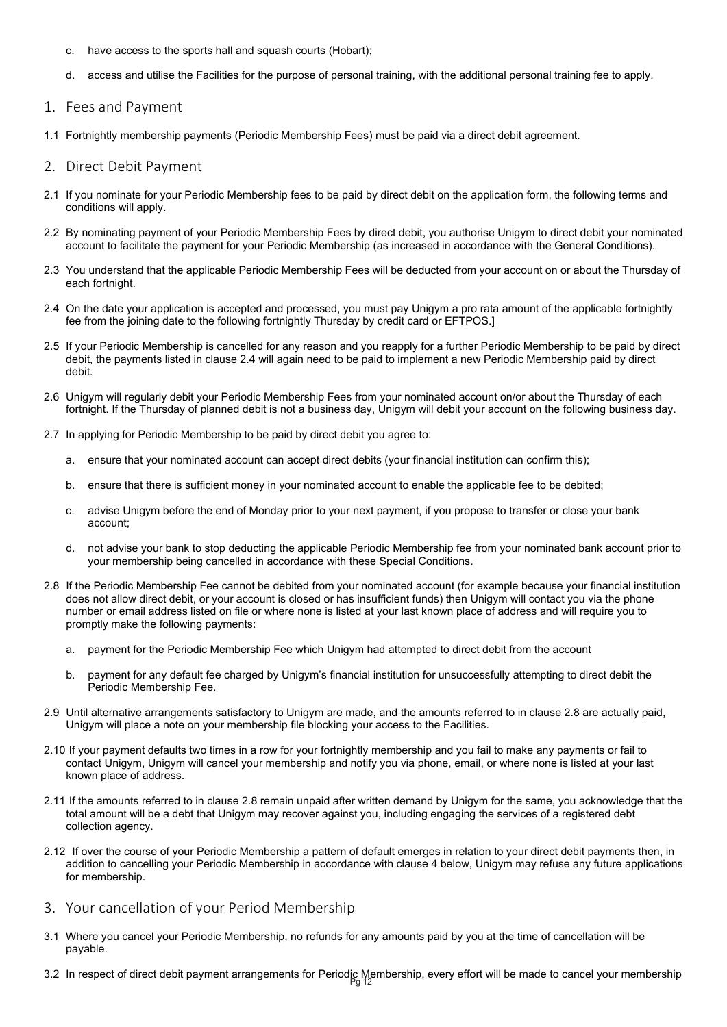- c. have access to the sports hall and squash courts (Hobart);
- d. access and utilise the Facilities for the purpose of personal training, with the additional personal training fee to apply.
- <span id="page-11-0"></span>1. Fees and Payment
- 1.1 Fortnightly membership payments (Periodic Membership Fees) must be paid via a direct debit agreement.

#### <span id="page-11-1"></span>2. Direct Debit Payment

- 2.1 If you nominate for your Periodic Membership fees to be paid by direct debit on the application form, the following terms and conditions will apply.
- 2.2 By nominating payment of your Periodic Membership Fees by direct debit, you authorise Unigym to direct debit your nominated account to facilitate the payment for your Periodic Membership (as increased in accordance with the General Conditions).
- 2.3 You understand that the applicable Periodic Membership Fees will be deducted from your account on or about the Thursday of each fortnight.
- 2.4 On the date your application is accepted and processed, you must pay Unigym a pro rata amount of the applicable fortnightly fee from the joining date to the following fortnightly Thursday by credit card or EFTPOS.]
- 2.5 If your Periodic Membership is cancelled for any reason and you reapply for a further Periodic Membership to be paid by direct debit, the payments listed in clause 2.4 will again need to be paid to implement a new Periodic Membership paid by direct debit.
- 2.6 Unigym will regularly debit your Periodic Membership Fees from your nominated account on/or about the Thursday of each fortnight. If the Thursday of planned debit is not a business day, Unigym will debit your account on the following business day.
- 2.7 In applying for Periodic Membership to be paid by direct debit you agree to:
	- a. ensure that your nominated account can accept direct debits (your financial institution can confirm this);
	- b. ensure that there is sufficient money in your nominated account to enable the applicable fee to be debited;
	- c. advise Unigym before the end of Monday prior to your next payment, if you propose to transfer or close your bank account;
	- d. not advise your bank to stop deducting the applicable Periodic Membership fee from your nominated bank account prior to your membership being cancelled in accordance with these Special Conditions.
- 2.8 If the Periodic Membership Fee cannot be debited from your nominated account (for example because your financial institution does not allow direct debit, or your account is closed or has insufficient funds) then Unigym will contact you via the phone number or email address listed on file or where none is listed at your last known place of address and will require you to promptly make the following payments:
	- a. payment for the Periodic Membership Fee which Unigym had attempted to direct debit from the account
	- b. payment for any default fee charged by Unigym's financial institution for unsuccessfully attempting to direct debit the Periodic Membership Fee.
- 2.9 Until alternative arrangements satisfactory to Unigym are made, and the amounts referred to in clause 2.8 are actually paid, Unigym will place a note on your membership file blocking your access to the Facilities.
- 2.10 If your payment defaults two times in a row for your fortnightly membership and you fail to make any payments or fail to contact Unigym, Unigym will cancel your membership and notify you via phone, email, or where none is listed at your last known place of address.
- 2.11 If the amounts referred to in clause 2.8 remain unpaid after written demand by Unigym for the same, you acknowledge that the total amount will be a debt that Unigym may recover against you, including engaging the services of a registered debt collection agency.
- 2.12 If over the course of your Periodic Membership a pattern of default emerges in relation to your direct debit payments then, in addition to cancelling your Periodic Membership in accordance with clause 4 below, Unigym may refuse any future applications for membership.
- <span id="page-11-2"></span>3. Your cancellation of your Period Membership
- 3.1 Where you cancel your Periodic Membership, no refunds for any amounts paid by you at the time of cancellation will be payable.
- 3.2 In respect of direct debit payment arrangements for Periodic Membership, every effort will be made to cancel your membership<br>Pg 12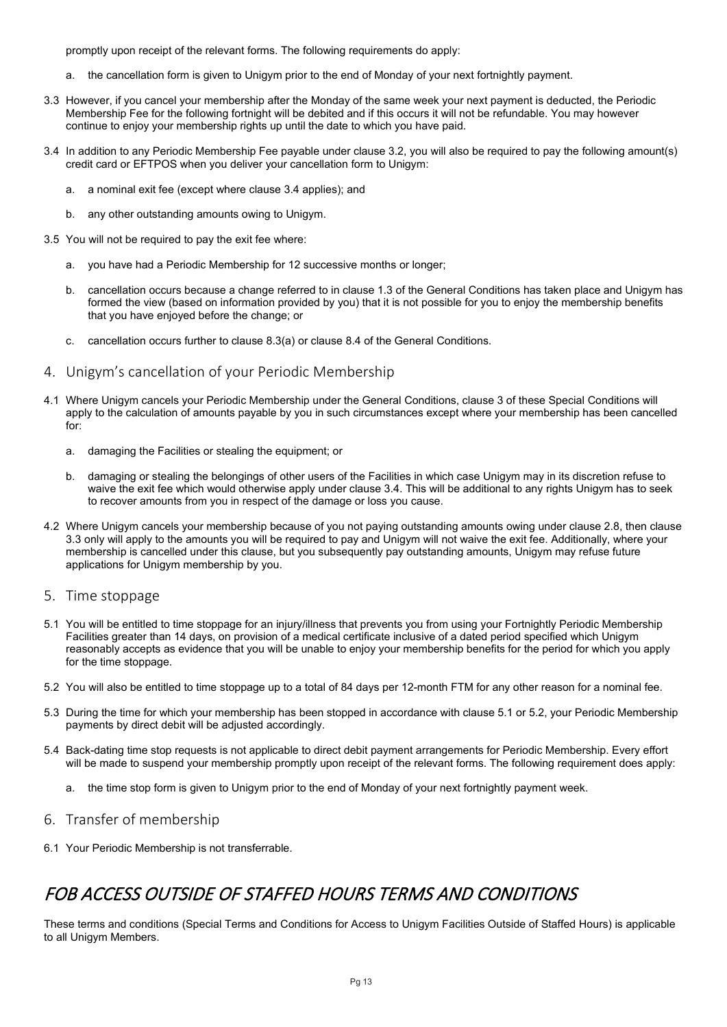promptly upon receipt of the relevant forms. The following requirements do apply:

- a. the cancellation form is given to Unigym prior to the end of Monday of your next fortnightly payment.
- 3.3 However, if you cancel your membership after the Monday of the same week your next payment is deducted, the Periodic Membership Fee for the following fortnight will be debited and if this occurs it will not be refundable. You may however continue to enjoy your membership rights up until the date to which you have paid.
- 3.4 In addition to any Periodic Membership Fee payable under clause 3.2, you will also be required to pay the following amount(s) credit card or EFTPOS when you deliver your cancellation form to Unigym:
	- a. a nominal exit fee (except where clause 3.4 applies); and
	- b. any other outstanding amounts owing to Unigym.
- 3.5 You will not be required to pay the exit fee where:
	- a. you have had a Periodic Membership for 12 successive months or longer;
	- b. cancellation occurs because a change referred to in clause 1.3 of the General Conditions has taken place and Unigym has formed the view (based on information provided by you) that it is not possible for you to enjoy the membership benefits that you have enjoyed before the change; or
	- c. cancellation occurs further to clause 8.3(a) or clause 8.4 of the General Conditions.
- <span id="page-12-0"></span>4. Unigym's cancellation of your Periodic Membership
- 4.1 Where Unigym cancels your Periodic Membership under the General Conditions, clause 3 of these Special Conditions will apply to the calculation of amounts payable by you in such circumstances except where your membership has been cancelled for:
	- a. damaging the Facilities or stealing the equipment; or
	- b. damaging or stealing the belongings of other users of the Facilities in which case Unigym may in its discretion refuse to waive the exit fee which would otherwise apply under clause 3.4. This will be additional to any rights Unigym has to seek to recover amounts from you in respect of the damage or loss you cause.
- 4.2 Where Unigym cancels your membership because of you not paying outstanding amounts owing under clause 2.8, then clause 3.3 only will apply to the amounts you will be required to pay and Unigym will not waive the exit fee. Additionally, where your membership is cancelled under this clause, but you subsequently pay outstanding amounts, Unigym may refuse future applications for Unigym membership by you.
- <span id="page-12-1"></span>5. Time stoppage
- 5.1 You will be entitled to time stoppage for an injury/illness that prevents you from using your Fortnightly Periodic Membership Facilities greater than 14 days, on provision of a medical certificate inclusive of a dated period specified which Unigym reasonably accepts as evidence that you will be unable to enjoy your membership benefits for the period for which you apply for the time stoppage.
- 5.2 You will also be entitled to time stoppage up to a total of 84 days per 12-month FTM for any other reason for a nominal fee.
- 5.3 During the time for which your membership has been stopped in accordance with clause 5.1 or 5.2, your Periodic Membership payments by direct debit will be adjusted accordingly.
- 5.4 Back-dating time stop requests is not applicable to direct debit payment arrangements for Periodic Membership. Every effort will be made to suspend your membership promptly upon receipt of the relevant forms. The following requirement does apply:
	- a. the time stop form is given to Unigym prior to the end of Monday of your next fortnightly payment week.

## <span id="page-12-2"></span>6. Transfer of membership

6.1 Your Periodic Membership is not transferrable.

## <span id="page-12-3"></span>FOB ACCESS OUTSIDE OF STAFFED HOURS TERMS AND CONDITIONS

These terms and conditions (Special Terms and Conditions for Access to Unigym Facilities Outside of Staffed Hours) is applicable to all Unigym Members.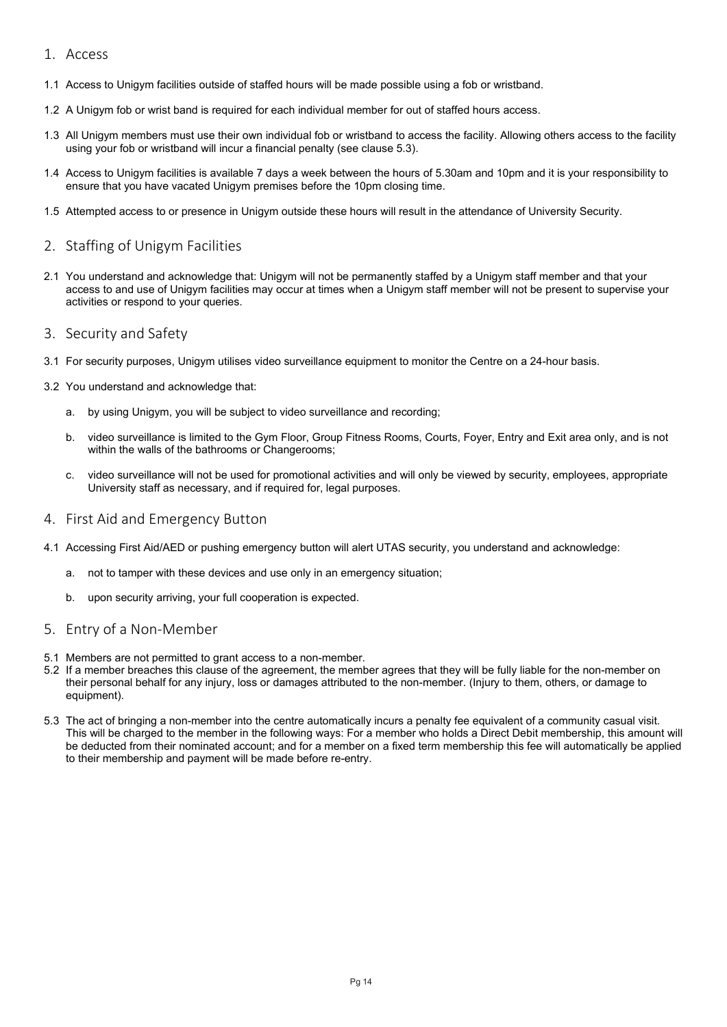- <span id="page-13-0"></span>1. Access
- 1.1 Access to Unigym facilities outside of staffed hours will be made possible using a fob or wristband.
- 1.2 A Unigym fob or wrist band is required for each individual member for out of staffed hours access.
- 1.3 All Unigym members must use their own individual fob or wristband to access the facility. Allowing others access to the facility using your fob or wristband will incur a financial penalty (see clause 5.3).
- 1.4 Access to Unigym facilities is available 7 days a week between the hours of 5.30am and 10pm and it is your responsibility to ensure that you have vacated Unigym premises before the 10pm closing time.
- 1.5 Attempted access to or presence in Unigym outside these hours will result in the attendance of University Security.

#### <span id="page-13-1"></span>2. Staffing of Unigym Facilities

- 2.1 You understand and acknowledge that: Unigym will not be permanently staffed by a Unigym staff member and that your access to and use of Unigym facilities may occur at times when a Unigym staff member will not be present to supervise your activities or respond to your queries.
- <span id="page-13-2"></span>3. Security and Safety
- 3.1 For security purposes, Unigym utilises video surveillance equipment to monitor the Centre on a 24-hour basis.
- 3.2 You understand and acknowledge that:
	- a. by using Unigym, you will be subject to video surveillance and recording;
	- b. video surveillance is limited to the Gym Floor, Group Fitness Rooms, Courts, Foyer, Entry and Exit area only, and is not within the walls of the bathrooms or Changerooms;
	- c. video surveillance will not be used for promotional activities and will only be viewed by security, employees, appropriate University staff as necessary, and if required for, legal purposes.

#### <span id="page-13-3"></span>4. First Aid and Emergency Button

- 4.1 Accessing First Aid/AED or pushing emergency button will alert UTAS security, you understand and acknowledge:
	- a. not to tamper with these devices and use only in an emergency situation;
	- b. upon security arriving, your full cooperation is expected.

#### <span id="page-13-4"></span>5. Entry of a Non-Member

- 5.1 Members are not permitted to grant access to a non-member.
- 5.2 If a member breaches this clause of the agreement, the member agrees that they will be fully liable for the non-member on their personal behalf for any injury, loss or damages attributed to the non-member. (Injury to them, others, or damage to equipment).
- 5.3 The act of bringing a non-member into the centre automatically incurs a penalty fee equivalent of a community casual visit. This will be charged to the member in the following ways: For a member who holds a Direct Debit membership, this amount will be deducted from their nominated account; and for a member on a fixed term membership this fee will automatically be applied to their membership and payment will be made before re-entry.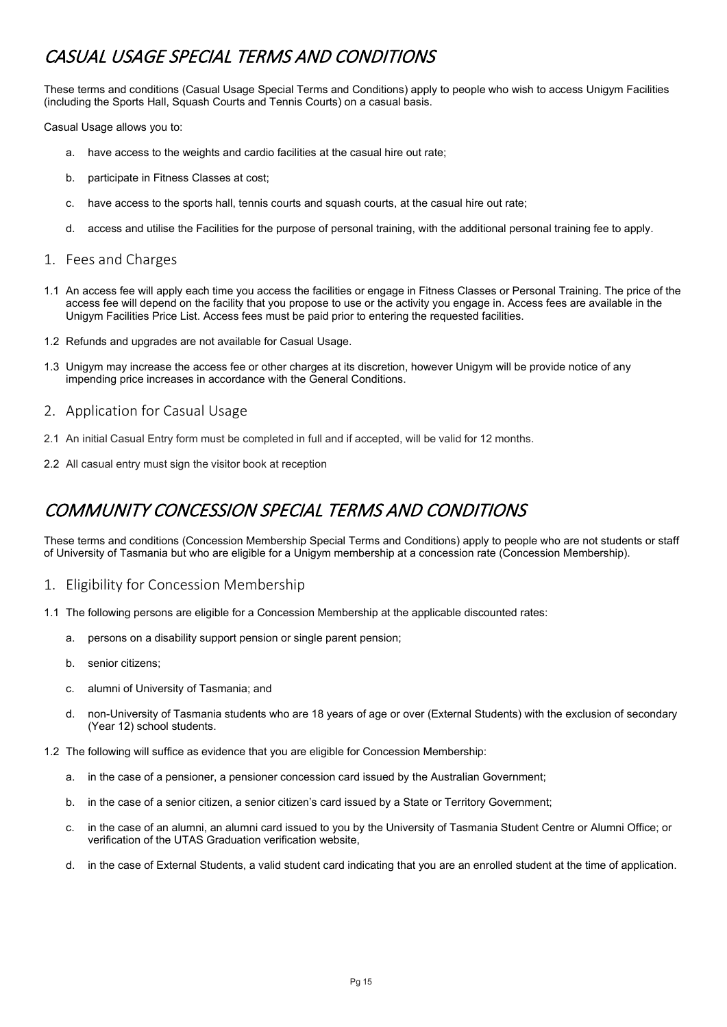## <span id="page-14-0"></span>CASUAL USAGE SPECIAL TERMS AND CONDITIONS

These terms and conditions (Casual Usage Special Terms and Conditions) apply to people who wish to access Unigym Facilities (including the Sports Hall, Squash Courts and Tennis Courts) on a casual basis.

Casual Usage allows you to:

- a. have access to the weights and cardio facilities at the casual hire out rate;
- b. participate in Fitness Classes at cost;
- c. have access to the sports hall, tennis courts and squash courts, at the casual hire out rate;
- d. access and utilise the Facilities for the purpose of personal training, with the additional personal training fee to apply.
- <span id="page-14-1"></span>1. Fees and Charges
- 1.1 An access fee will apply each time you access the facilities or engage in Fitness Classes or Personal Training. The price of the access fee will depend on the facility that you propose to use or the activity you engage in. Access fees are available in the Unigym Facilities Price List. Access fees must be paid prior to entering the requested facilities.
- 1.2 Refunds and upgrades are not available for Casual Usage.
- 1.3 Unigym may increase the access fee or other charges at its discretion, however Unigym will be provide notice of any impending price increases in accordance with the General Conditions.
- <span id="page-14-2"></span>2. Application for Casual Usage
- 2.1 An initial Casual Entry form must be completed in full and if accepted, will be valid for 12 months.
- 2.2 All casual entry must sign the visitor book at reception

## <span id="page-14-3"></span>COMMUNITY CONCESSION SPECIAL TERMS AND CONDITIONS

These terms and conditions (Concession Membership Special Terms and Conditions) apply to people who are not students or staff of University of Tasmania but who are eligible for a Unigym membership at a concession rate (Concession Membership).

- <span id="page-14-4"></span>1. Eligibility for Concession Membership
- 1.1 The following persons are eligible for a Concession Membership at the applicable discounted rates:
	- a. persons on a disability support pension or single parent pension;
	- b. senior citizens;
	- c. alumni of University of Tasmania; and
	- d. non-University of Tasmania students who are 18 years of age or over (External Students) with the exclusion of secondary (Year 12) school students.
- 1.2 The following will suffice as evidence that you are eligible for Concession Membership:
	- a. in the case of a pensioner, a pensioner concession card issued by the Australian Government;
	- b. in the case of a senior citizen, a senior citizen's card issued by a State or Territory Government;
	- c. in the case of an alumni, an alumni card issued to you by the University of Tasmania Student Centre or Alumni Office; or verification of the UTAS Graduation verification website,
	- d. in the case of External Students, a valid student card indicating that you are an enrolled student at the time of application.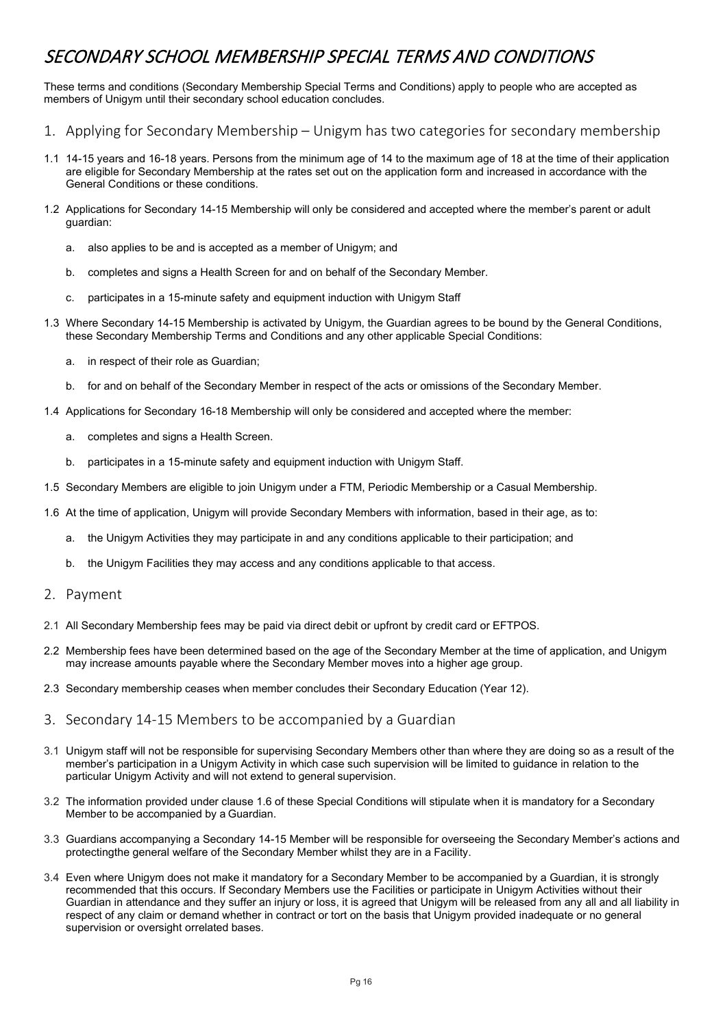## <span id="page-15-0"></span>SECONDARY SCHOOL MEMBERSHIP SPECIAL TERMS AND CONDITIONS

These terms and conditions (Secondary Membership Special Terms and Conditions) apply to people who are accepted as members of Unigym until their secondary school education concludes.

- <span id="page-15-1"></span>1. Applying for Secondary Membership – Unigym has two categories for secondary membership
- 1.1 14-15 years and 16-18 years. Persons from the minimum age of 14 to the maximum age of 18 at the time of their application are eligible for Secondary Membership at the rates set out on the application form and increased in accordance with the General Conditions or these conditions.
- 1.2 Applications for Secondary 14-15 Membership will only be considered and accepted where the member's parent or adult guardian:
	- a. also applies to be and is accepted as a member of Unigym; and
	- b. completes and signs a Health Screen for and on behalf of the Secondary Member.
	- c. participates in a 15-minute safety and equipment induction with Unigym Staff
- 1.3 Where Secondary 14-15 Membership is activated by Unigym, the Guardian agrees to be bound by the General Conditions, these Secondary Membership Terms and Conditions and any other applicable Special Conditions:
	- a. in respect of their role as Guardian;
	- b. for and on behalf of the Secondary Member in respect of the acts or omissions of the Secondary Member.
- 1.4 Applications for Secondary 16-18 Membership will only be considered and accepted where the member:
	- a. completes and signs a Health Screen.
	- b. participates in a 15-minute safety and equipment induction with Unigym Staff.
- 1.5 Secondary Members are eligible to join Unigym under a FTM, Periodic Membership or a Casual Membership.
- 1.6 At the time of application, Unigym will provide Secondary Members with information, based in their age, as to:
	- a. the Unigym Activities they may participate in and any conditions applicable to their participation; and
	- b. the Unigym Facilities they may access and any conditions applicable to that access.
- <span id="page-15-2"></span>2. Payment
- 2.1 All Secondary Membership fees may be paid via direct debit or upfront by credit card or EFTPOS.
- 2.2 Membership fees have been determined based on the age of the Secondary Member at the time of application, and Unigym may increase amounts payable where the Secondary Member moves into a higher age group.
- 2.3 Secondary membership ceases when member concludes their Secondary Education (Year 12).
- <span id="page-15-3"></span>3. Secondary 14-15 Members to be accompanied by a Guardian
- 3.1 Unigym staff will not be responsible for supervising Secondary Members other than where they are doing so as a result of the member's participation in a Unigym Activity in which case such supervision will be limited to guidance in relation to the particular Unigym Activity and will not extend to general supervision.
- 3.2 The information provided under clause 1.6 of these Special Conditions will stipulate when it is mandatory for a Secondary Member to be accompanied by a Guardian.
- 3.3 Guardians accompanying a Secondary 14-15 Member will be responsible for overseeing the Secondary Member's actions and protectingthe general welfare of the Secondary Member whilst they are in a Facility.
- 3.4 Even where Unigym does not make it mandatory for a Secondary Member to be accompanied by a Guardian, it is strongly recommended that this occurs. If Secondary Members use the Facilities or participate in Unigym Activities without their Guardian in attendance and they suffer an injury or loss, it is agreed that Unigym will be released from any all and all liability in respect of any claim or demand whether in contract or tort on the basis that Unigym provided inadequate or no general supervision or oversight orrelated bases.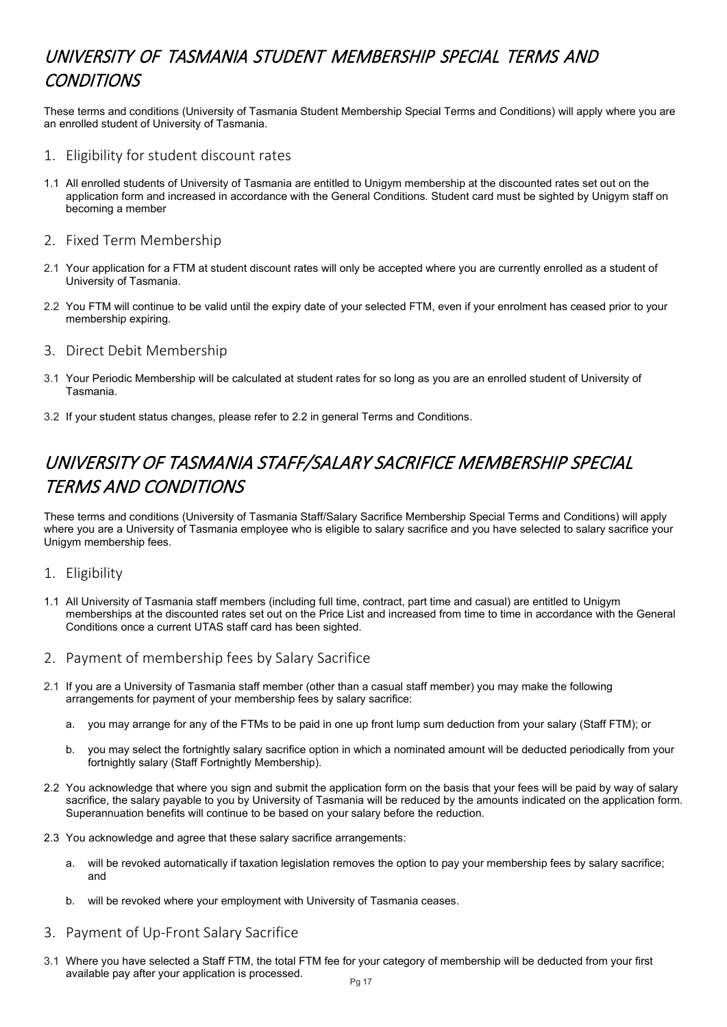## <span id="page-16-0"></span>UNIVERSITY OF TASMANIA STUDENT MEMBERSHIP SPECIAL TERMS AND **CONDITIONS**

These terms and conditions (University of Tasmania Student Membership Special Terms and Conditions) will apply where you are an enrolled student of University of Tasmania.

- <span id="page-16-1"></span>1. Eligibility for student discount rates
- 1.1 All enrolled students of University of Tasmania are entitled to Unigym membership at the discounted rates set out on the application form and increased in accordance with the General Conditions. Student card must be sighted by Unigym staff on becoming a member
- <span id="page-16-2"></span>2. Fixed Term Membership
- 2.1 Your application for a FTM at student discount rates will only be accepted where you are currently enrolled as a student of University of Tasmania.
- 2.2 You FTM will continue to be valid until the expiry date of your selected FTM, even if your enrolment has ceased prior to your membership expiring.
- <span id="page-16-3"></span>3. Direct Debit Membership
- 3.1 Your Periodic Membership will be calculated at student rates for so long as you are an enrolled student of University of Tasmania.
- 3.2 If your student status changes, please refer to 2.2 in general Terms and Conditions.

## <span id="page-16-4"></span>UNIVERSITY OF TASMANIA STAFF/SALARY SACRIFICE MEMBERSHIP SPECIAL TERMS AND CONDITIONS

These terms and conditions (University of Tasmania Staff/Salary Sacrifice Membership Special Terms and Conditions) will apply where you are a University of Tasmania employee who is eligible to salary sacrifice and you have selected to salary sacrifice your Unigym membership fees.

#### <span id="page-16-5"></span>1. Eligibility

- 1.1 All University of Tasmania staff members (including full time, contract, part time and casual) are entitled to Unigym memberships at the discounted rates set out on the Price List and increased from time to time in accordance with the General Conditions once a current UTAS staff card has been sighted.
- <span id="page-16-6"></span>2. Payment of membership fees by Salary Sacrifice
- 2.1 If you are a University of Tasmania staff member (other than a casual staff member) you may make the following arrangements for payment of your membership fees by salary sacrifice:
	- a. you may arrange for any of the FTMs to be paid in one up front lump sum deduction from your salary (Staff FTM); or
	- b. you may select the fortnightly salary sacrifice option in which a nominated amount will be deducted periodically from your fortnightly salary (Staff Fortnightly Membership).
- 2.2 You acknowledge that where you sign and submit the application form on the basis that your fees will be paid by way of salary sacrifice, the salary payable to you by University of Tasmania will be reduced by the amounts indicated on the application form. Superannuation benefits will continue to be based on your salary before the reduction.
- 2.3 You acknowledge and agree that these salary sacrifice arrangements:
	- a. will be revoked automatically if taxation legislation removes the option to pay your membership fees by salary sacrifice; and
	- b. will be revoked where your employment with University of Tasmania ceases.
- <span id="page-16-7"></span>3. Payment of Up-Front Salary Sacrifice
- 3.1 Where you have selected a Staff FTM, the total FTM fee for your category of membership will be deducted from your first available pay after your application is processed.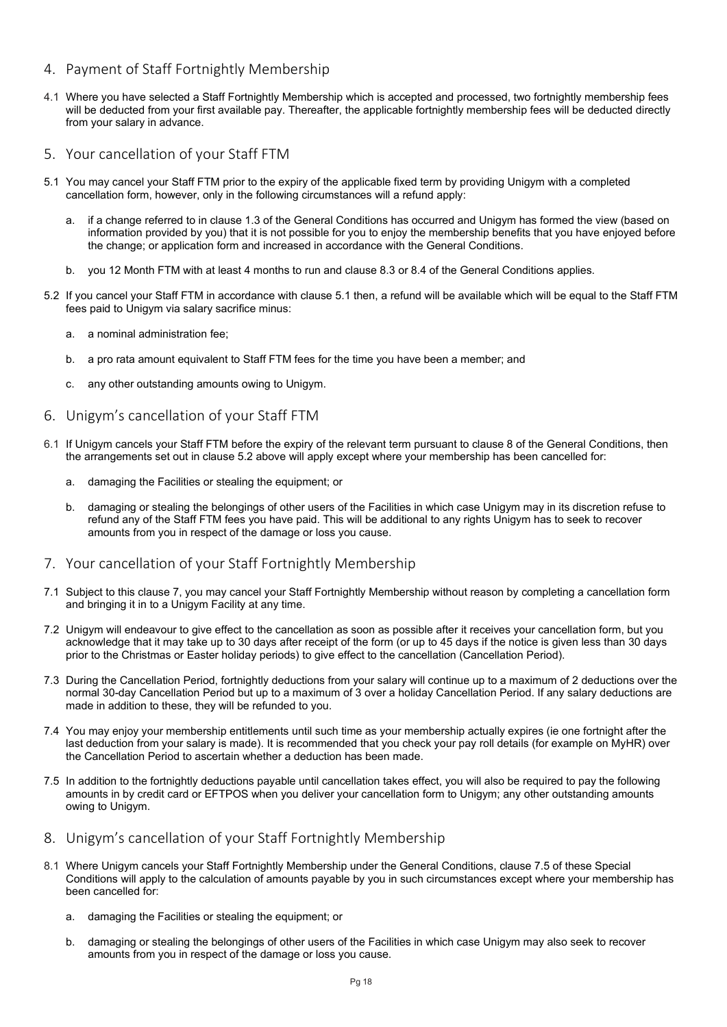- <span id="page-17-0"></span>4. Payment of Staff Fortnightly Membership
- 4.1 Where you have selected a Staff Fortnightly Membership which is accepted and processed, two fortnightly membership fees will be deducted from your first available pay. Thereafter, the applicable fortnightly membership fees will be deducted directly from your salary in advance.
- <span id="page-17-1"></span>5. Your cancellation of your Staff FTM
- 5.1 You may cancel your Staff FTM prior to the expiry of the applicable fixed term by providing Unigym with a completed cancellation form, however, only in the following circumstances will a refund apply:
	- a. if a change referred to in clause 1.3 of the General Conditions has occurred and Unigym has formed the view (based on information provided by you) that it is not possible for you to enjoy the membership benefits that you have enjoyed before the change; or application form and increased in accordance with the General Conditions.
	- b. you 12 Month FTM with at least 4 months to run and clause 8.3 or 8.4 of the General Conditions applies.
- 5.2 If you cancel your Staff FTM in accordance with clause 5.1 then, a refund will be available which will be equal to the Staff FTM fees paid to Unigym via salary sacrifice minus:
	- a. a nominal administration fee;
	- b. a pro rata amount equivalent to Staff FTM fees for the time you have been a member; and
	- c. any other outstanding amounts owing to Unigym.
- <span id="page-17-2"></span>6. Unigym's cancellation of your Staff FTM
- 6.1 If Unigym cancels your Staff FTM before the expiry of the relevant term pursuant to clause 8 of the General Conditions, then the arrangements set out in clause 5.2 above will apply except where your membership has been cancelled for:
	- a. damaging the Facilities or stealing the equipment; or
	- b. damaging or stealing the belongings of other users of the Facilities in which case Unigym may in its discretion refuse to refund any of the Staff FTM fees you have paid. This will be additional to any rights Unigym has to seek to recover amounts from you in respect of the damage or loss you cause.
- <span id="page-17-3"></span>7. Your cancellation of your Staff Fortnightly Membership
- 7.1 Subject to this clause 7, you may cancel your Staff Fortnightly Membership without reason by completing a cancellation form and bringing it in to a Unigym Facility at any time.
- 7.2 Unigym will endeavour to give effect to the cancellation as soon as possible after it receives your cancellation form, but you acknowledge that it may take up to 30 days after receipt of the form (or up to 45 days if the notice is given less than 30 days prior to the Christmas or Easter holiday periods) to give effect to the cancellation (Cancellation Period).
- 7.3 During the Cancellation Period, fortnightly deductions from your salary will continue up to a maximum of 2 deductions over the normal 30-day Cancellation Period but up to a maximum of 3 over a holiday Cancellation Period. If any salary deductions are made in addition to these, they will be refunded to you.
- 7.4 You may enjoy your membership entitlements until such time as your membership actually expires (ie one fortnight after the last deduction from your salary is made). It is recommended that you check your pay roll details (for example on MyHR) over the Cancellation Period to ascertain whether a deduction has been made.
- 7.5 In addition to the fortnightly deductions payable until cancellation takes effect, you will also be required to pay the following amounts in by credit card or EFTPOS when you deliver your cancellation form to Unigym; any other outstanding amounts owing to Unigym.
- <span id="page-17-4"></span>8. Unigym's cancellation of your Staff Fortnightly Membership
- 8.1 Where Unigym cancels your Staff Fortnightly Membership under the General Conditions, clause 7.5 of these Special Conditions will apply to the calculation of amounts payable by you in such circumstances except where your membership has been cancelled for:
	- a. damaging the Facilities or stealing the equipment; or
	- b. damaging or stealing the belongings of other users of the Facilities in which case Unigym may also seek to recover amounts from you in respect of the damage or loss you cause.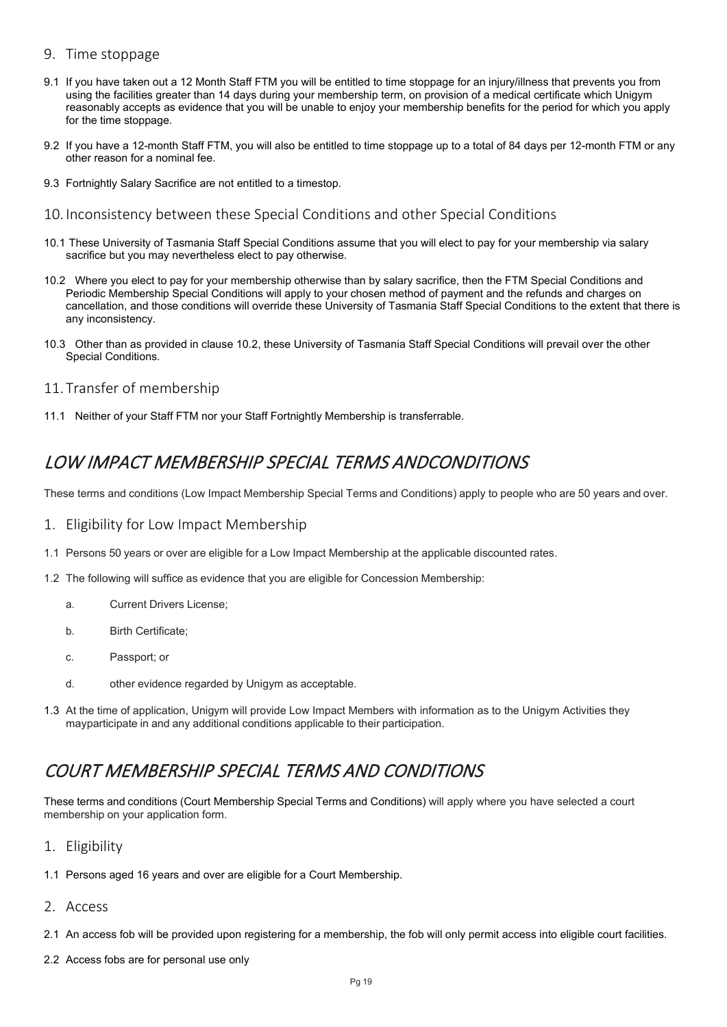### <span id="page-18-0"></span>9. Time stoppage

- 9.1 If you have taken out a 12 Month Staff FTM you will be entitled to time stoppage for an injury/illness that prevents you from using the facilities greater than 14 days during your membership term, on provision of a medical certificate which Unigym reasonably accepts as evidence that you will be unable to enjoy your membership benefits for the period for which you apply for the time stoppage.
- 9.2 If you have a 12-month Staff FTM, you will also be entitled to time stoppage up to a total of 84 days per 12-month FTM or any other reason for a nominal fee.
- 9.3 Fortnightly Salary Sacrifice are not entitled to a timestop.
- <span id="page-18-1"></span>10. Inconsistency between these Special Conditions and other Special Conditions
- 10.1 These University of Tasmania Staff Special Conditions assume that you will elect to pay for your membership via salary sacrifice but you may nevertheless elect to pay otherwise.
- 10.2 Where you elect to pay for your membership otherwise than by salary sacrifice, then the FTM Special Conditions and Periodic Membership Special Conditions will apply to your chosen method of payment and the refunds and charges on cancellation, and those conditions will override these University of Tasmania Staff Special Conditions to the extent that there is any inconsistency.
- 10.3 Other than as provided in clause 10.2, these University of Tasmania Staff Special Conditions will prevail over the other Special Conditions.
- <span id="page-18-2"></span>11. Transfer of membership
- 11.1 Neither of your Staff FTM nor your Staff Fortnightly Membership is transferrable.

## <span id="page-18-3"></span>LOW IMPACT MEMBERSHIP SPECIAL TERMS ANDCONDITIONS

These terms and conditions (Low Impact Membership Special Terms and Conditions) apply to people who are 50 years and over.

- <span id="page-18-4"></span>1. Eligibility for Low Impact Membership
- 1.1 Persons 50 years or over are eligible for a Low Impact Membership at the applicable discounted rates.
- 1.2 The following will suffice as evidence that you are eligible for Concession Membership:
	- a. Current Drivers License;
	- b. Birth Certificate;
	- c. Passport; or
	- d. other evidence regarded by Unigym as acceptable.
- 1.3 At the time of application, Unigym will provide Low Impact Members with information as to the Unigym Activities they mayparticipate in and any additional conditions applicable to their participation.

## <span id="page-18-5"></span>COURT MEMBERSHIP SPECIAL TERMS AND CONDITIONS

These terms and conditions (Court Membership Special Terms and Conditions) will apply where you have selected a court membership on your application form.

- <span id="page-18-6"></span>1. Eligibility
- 1.1 Persons aged 16 years and over are eligible for a Court Membership.
- <span id="page-18-7"></span>2. Access
- 2.1 An access fob will be provided upon registering for a membership, the fob will only permit access into eligible court facilities.
- 2.2 Access fobs are for personal use only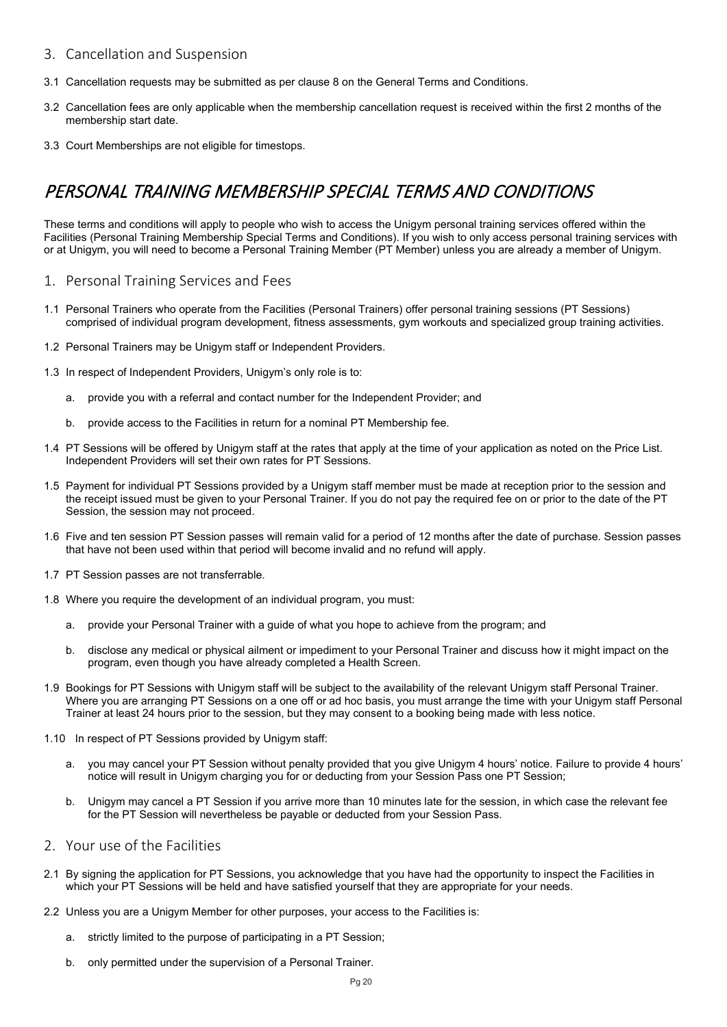## <span id="page-19-0"></span>3. Cancellation and Suspension

- 3.1 Cancellation requests may be submitted as per clause 8 on the General Terms and Conditions.
- 3.2 Cancellation fees are only applicable when the membership cancellation request is received within the first 2 months of the membership start date.
- 3.3 Court Memberships are not eligible for timestops.

## <span id="page-19-1"></span>PERSONAL TRAINING MEMBERSHIP SPECIAL TERMS AND CONDITIONS

These terms and conditions will apply to people who wish to access the Unigym personal training services offered within the Facilities (Personal Training Membership Special Terms and Conditions). If you wish to only access personal training services with or at Unigym, you will need to become a Personal Training Member (PT Member) unless you are already a member of Unigym.

- <span id="page-19-2"></span>1. Personal Training Services and Fees
- 1.1 Personal Trainers who operate from the Facilities (Personal Trainers) offer personal training sessions (PT Sessions) comprised of individual program development, fitness assessments, gym workouts and specialized group training activities.
- 1.2 Personal Trainers may be Unigym staff or Independent Providers.
- 1.3 In respect of Independent Providers, Unigym's only role is to:
	- a. provide you with a referral and contact number for the Independent Provider; and
	- b. provide access to the Facilities in return for a nominal PT Membership fee.
- 1.4 PT Sessions will be offered by Unigym staff at the rates that apply at the time of your application as noted on the Price List. Independent Providers will set their own rates for PT Sessions.
- 1.5 Payment for individual PT Sessions provided by a Unigym staff member must be made at reception prior to the session and the receipt issued must be given to your Personal Trainer. If you do not pay the required fee on or prior to the date of the PT Session, the session may not proceed.
- 1.6 Five and ten session PT Session passes will remain valid for a period of 12 months after the date of purchase. Session passes that have not been used within that period will become invalid and no refund will apply.
- 1.7 PT Session passes are not transferrable.
- 1.8 Where you require the development of an individual program, you must:
	- provide your Personal Trainer with a guide of what you hope to achieve from the program; and
	- b. disclose any medical or physical ailment or impediment to your Personal Trainer and discuss how it might impact on the program, even though you have already completed a Health Screen.
- 1.9 Bookings for PT Sessions with Unigym staff will be subject to the availability of the relevant Unigym staff Personal Trainer. Where you are arranging PT Sessions on a one off or ad hoc basis, you must arrange the time with your Unigym staff Personal Trainer at least 24 hours prior to the session, but they may consent to a booking being made with less notice.
- 1.10 In respect of PT Sessions provided by Unigym staff:
	- a. you may cancel your PT Session without penalty provided that you give Unigym 4 hours' notice. Failure to provide 4 hours' notice will result in Unigym charging you for or deducting from your Session Pass one PT Session;
	- b. Unigym may cancel a PT Session if you arrive more than 10 minutes late for the session, in which case the relevant fee for the PT Session will nevertheless be payable or deducted from your Session Pass.
- <span id="page-19-3"></span>2. Your use of the Facilities
- 2.1 By signing the application for PT Sessions, you acknowledge that you have had the opportunity to inspect the Facilities in which your PT Sessions will be held and have satisfied yourself that they are appropriate for your needs.
- 2.2 Unless you are a Unigym Member for other purposes, your access to the Facilities is:
	- a. strictly limited to the purpose of participating in a PT Session;
	- b. only permitted under the supervision of a Personal Trainer.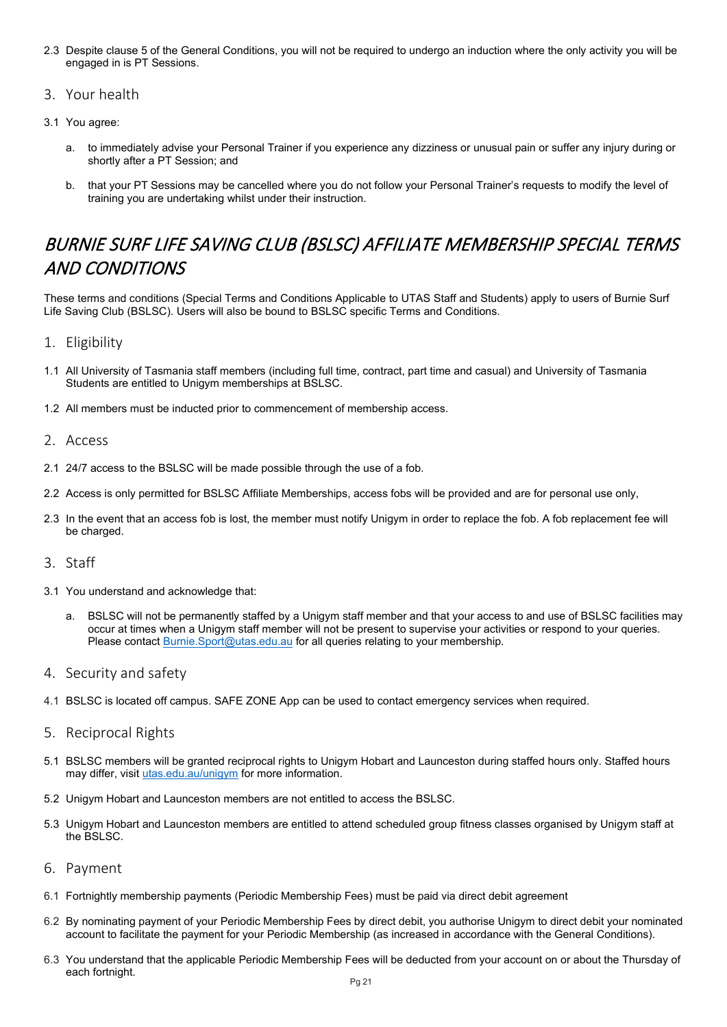- 2.3 Despite clause 5 of the General Conditions, you will not be required to undergo an induction where the only activity you will be engaged in is PT Sessions.
- <span id="page-20-0"></span>3. Your health
- 3.1 You agree:
	- a. to immediately advise your Personal Trainer if you experience any dizziness or unusual pain or suffer any injury during or shortly after a PT Session; and
	- b. that your PT Sessions may be cancelled where you do not follow your Personal Trainer's requests to modify the level of training you are undertaking whilst under their instruction.

## <span id="page-20-1"></span>BURNIE SURF LIFE SAVING CLUB (BSLSC) AFFILIATE MEMBERSHIP SPECIAL TERMS AND CONDITIONS

These terms and conditions (Special Terms and Conditions Applicable to UTAS Staff and Students) apply to users of Burnie Surf Life Saving Club (BSLSC). Users will also be bound to BSLSC specific Terms and Conditions.

## <span id="page-20-2"></span>1. Eligibility

- 1.1 All University of Tasmania staff members (including full time, contract, part time and casual) and University of Tasmania Students are entitled to Unigym memberships at BSLSC.
- 1.2 All members must be inducted prior to commencement of membership access.
- <span id="page-20-3"></span>2. Access
- 2.1 24/7 access to the BSLSC will be made possible through the use of a fob.
- 2.2 Access is only permitted for BSLSC Affiliate Memberships, access fobs will be provided and are for personal use only,
- 2.3 In the event that an access fob is lost, the member must notify Unigym in order to replace the fob. A fob replacement fee will be charged.

#### <span id="page-20-4"></span>3. Staff

- 3.1 You understand and acknowledge that:
	- a. BSLSC will not be permanently staffed by a Unigym staff member and that your access to and use of BSLSC facilities may occur at times when a Unigym staff member will not be present to supervise your activities or respond to your queries. Please contact **Burnie.**Sport@utas.edu.au for all queries relating to your membership.

#### <span id="page-20-5"></span>4. Security and safety

4.1 BSLSC is located off campus. SAFE ZONE App can be used to contact emergency services when required.

#### <span id="page-20-6"></span>5. Reciprocal Rights

- 5.1 BSLSC members will be granted reciprocal rights to Unigym Hobart and Launceston during staffed hours only. Staffed hours may differ, visi[t utas.edu.au/unigym](https://www.utas.edu.au/unigym) for more information.
- 5.2 Unigym Hobart and Launceston members are not entitled to access the BSLSC.
- 5.3 Unigym Hobart and Launceston members are entitled to attend scheduled group fitness classes organised by Unigym staff at the BSLSC.
- <span id="page-20-7"></span>6. Payment
- 6.1 Fortnightly membership payments (Periodic Membership Fees) must be paid via direct debit agreement
- 6.2 By nominating payment of your Periodic Membership Fees by direct debit, you authorise Unigym to direct debit your nominated account to facilitate the payment for your Periodic Membership (as increased in accordance with the General Conditions).
- 6.3 You understand that the applicable Periodic Membership Fees will be deducted from your account on or about the Thursday of each fortnight.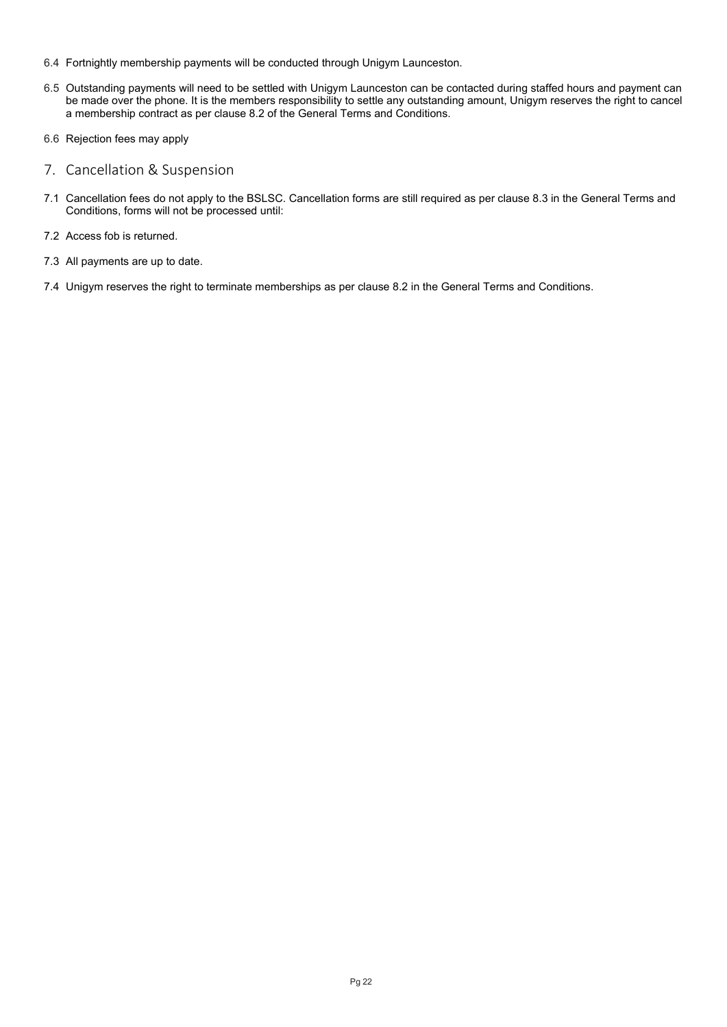- 6.4 Fortnightly membership payments will be conducted through Unigym Launceston.
- 6.5 Outstanding payments will need to be settled with Unigym Launceston can be contacted during staffed hours and payment can be made over the phone. It is the members responsibility to settle any outstanding amount, Unigym reserves the right to cancel a membership contract as per clause 8.2 of the General Terms and Conditions.
- 6.6 Rejection fees may apply
- <span id="page-21-0"></span>7. Cancellation & Suspension
- 7.1 Cancellation fees do not apply to the BSLSC. Cancellation forms are still required as per clause 8.3 in the General Terms and Conditions, forms will not be processed until:
- 7.2 Access fob is returned.
- 7.3 All payments are up to date.
- 7.4 Unigym reserves the right to terminate memberships as per clause 8.2 in the General Terms and Conditions.